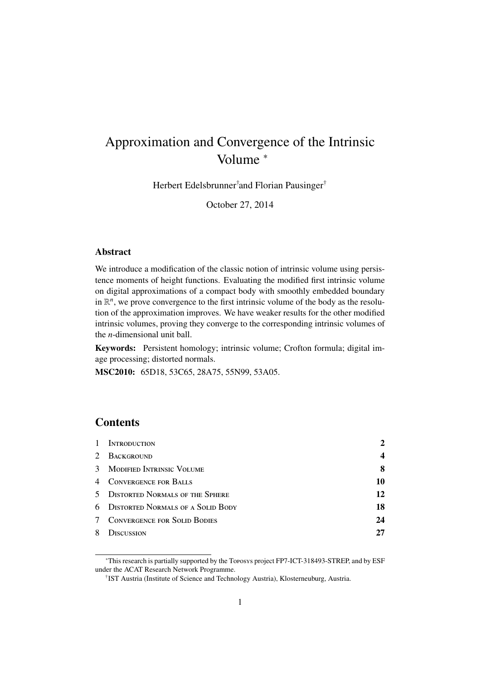# Approximation and Convergence of the Intrinsic Volume <sup>∗</sup>

Herbert Edelsbrunner† and Florian Pausinger†

October 27, 2014

#### Abstract

We introduce a modification of the classic notion of intrinsic volume using persistence moments of height functions. Evaluating the modified first intrinsic volume on digital approximations of a compact body with smoothly embedded boundary in  $\mathbb{R}^n$ , we prove convergence to the first intrinsic volume of the body as the resolution of the approximation improves. We have weaker results for the other modified intrinsic volumes, proving they converge to the corresponding intrinsic volumes of the *n*-dimensional unit ball.

Keywords: Persistent homology; intrinsic volume; Crofton formula; digital image processing; distorted normals.

MSC2010: 65D18, 53C65, 28A75, 55N99, 53A05.

# **Contents**

| $\mathbf{1}$ | <b>INTRODUCTION</b>                   | 2  |
|--------------|---------------------------------------|----|
| 2            | BACKGROUND                            |    |
|              | 3 MODIFIED INTRINSIC VOLUME           | 8  |
|              | 4 CONVERGENCE FOR BALLS               | 10 |
|              | 5 DISTORTED NORMALS OF THE SPHERE     | 12 |
|              | 6 DISTORTED NORMALS OF A SOLID BODY   | 18 |
|              | <b>7 CONVERGENCE FOR SOLID BODIES</b> | 24 |
| 8            | <b>ISCUSSION</b>                      |    |

<sup>∗</sup>This research is partially supported by the Toposys project FP7-ICT-318493-STREP, and by ESF under the ACAT Research Network Programme.

<sup>†</sup> IST Austria (Institute of Science and Technology Austria), Klosterneuburg, Austria.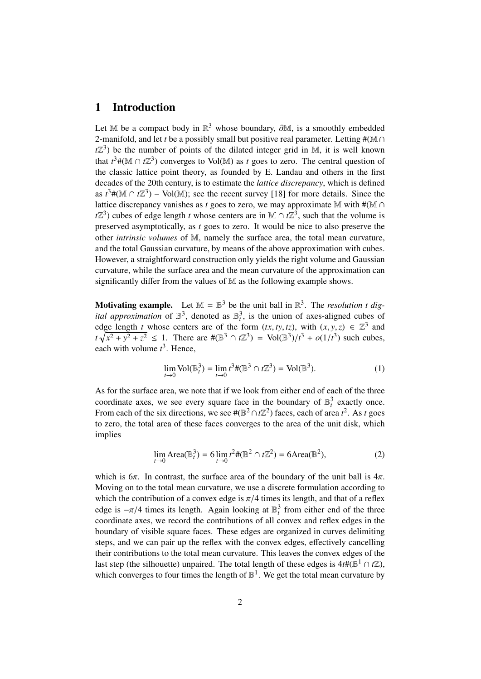#### 1 Introduction

Let M be a compact body in  $\mathbb{R}^3$  whose boundary,  $\partial \mathbb{M}$ , is a smoothly embedded 2-manifold and let the a possibly small but positive real parameter. Letting #(M  $\cap$ 2-manifold, and let *t* be a possibly small but positive real parameter. Letting # $(M \cap$  $t\mathbb{Z}^3$ ) be the number of points of the dilated integer grid in M, it is well known that  $t^3$  #( $\mathbb{M} \cap t\mathbb{Z}^3$ ) converges to Vol( $\mathbb{M}$ ) as *t* goes to zero. The central question of the classic lattice point theory, as founded by E. Landau and others in the first decades of the 20th century, is to estimate the *lattice discrepancy*, which is defined as  $t^3$  #( $\mathbb{M} \cap t\mathbb{Z}^3$ ) – Vol( $\mathbb{M}$ ); see the recent survey [18] for more details. Since the lattice discrepancy vanishes as *t* goes to zero, we may approximate M with  $#(\mathbb{M} \cap \mathbb{M})$  $t\mathbb{Z}^3$ ) cubes of edge length *t* whose centers are in M ∩  $t\mathbb{Z}^3$ , such that the volume is preserved asymptotically, as *t* goes to zero. It would be nice to also preserve the other *intrinsic volumes* of M, namely the surface area, the total mean curvature, and the total Gaussian curvature, by means of the above approximation with cubes. However, a straightforward construction only yields the right volume and Gaussian curvature, while the surface area and the mean curvature of the approximation can significantly differ from the values of M as the following example shows.

**Motivating example.** Let  $M = \mathbb{B}^3$  be the unit ball in  $\mathbb{R}^3$ . The *resolution t digital approximation* of  $\mathbb{B}^3$ , denoted as  $\mathbb{B}^3$ , is the union of axes-aligned cubes of edge length *t* whose centers are of the form  $(tx, ty, tz)$ , with  $(x, y, z) \in \mathbb{Z}^3$  and  $t \sqrt{x^2 + y^2 + z^2} < 1$ . There are  $\#(\mathbb{R}^3 \cap t \mathbb{Z}^3) = \text{Vol}(\mathbb{R}^3)/t^3 + o(1/t^3)$  such cubes  $t\sqrt{x^2 + y^2 + z^2} \le 1$ . There are  $\#(\mathbb{B}^3 \cap t\mathbb{Z}^3) = \text{Vol}(\mathbb{B}^3)/t^3 + o(1/t^3)$  such cubes,<br>each with volume  $t^3$ . Hence each with volume  $t^3$ . Hence,

$$
\lim_{t \to 0} \text{Vol}(\mathbb{B}_t^3) = \lim_{t \to 0} t^3 \#(\mathbb{B}^3 \cap t\mathbb{Z}^3) = \text{Vol}(\mathbb{B}^3). \tag{1}
$$

As for the surface area, we note that if we look from either end of each of the three coordinate axes, we see every square face in the boundary of  $\mathbb{B}_t^3$  exactly once. From each of the six directions, we see  $\#(\mathbb{B}^2 \cap \mathbb{Z}^2)$  faces, each of area  $t^2$ . As *t* goes to zero, the total area of these faces converges to the area of the unit disk, which implies

$$
\lim_{t \to 0} \text{Area}(\mathbb{B}_t^3) = 6 \lim_{t \to 0} t^2 \#(\mathbb{B}^2 \cap t\mathbb{Z}^2) = 6 \text{Area}(\mathbb{B}^2),\tag{2}
$$

which is  $6\pi$ . In contrast, the surface area of the boundary of the unit ball is  $4\pi$ . Moving on to the total mean curvature, we use a discrete formulation according to which the contribution of a convex edge is  $\pi/4$  times its length, and that of a reflex edge is  $-\pi/4$  times its length. Again looking at  $\mathbb{B}^3_t$  from either end of the three<br>coordinate axes, we record the contributions of all convex and reflex edges in the coordinate axes, we record the contributions of all convex and reflex edges in the boundary of visible square faces. These edges are organized in curves delimiting steps, and we can pair up the reflex with the convex edges, effectively cancelling their contributions to the total mean curvature. This leaves the convex edges of the last step (the silhouette) unpaired. The total length of these edges is  $4t\#(\mathbb{B}^1 \cap t\mathbb{Z})$ , which converges to four times the length of  $\mathbb{B}^1$ . We get the total mean curvature by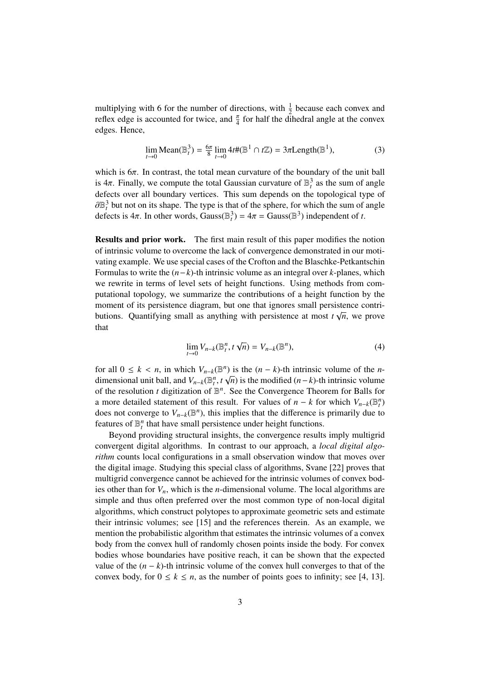multiplying with 6 for the number of directions, with  $\frac{1}{2}$  because each convex and reflex edge is accounted for twice, and  $\frac{\pi}{4}$  for half the dihedral angle at the convex edges. Hence,

$$
\lim_{t \to 0} \text{Mean}(\mathbb{B}_t^3) = \frac{6\pi}{8} \lim_{t \to 0} 4t \#(\mathbb{B}^1 \cap t\mathbb{Z}) = 3\pi \text{Length}(\mathbb{B}^1),\tag{3}
$$

which is  $6\pi$ . In contrast, the total mean curvature of the boundary of the unit ball is  $4\pi$ . Finally, we compute the total Gaussian curvature of  $\mathbb{B}^3_t$  as the sum of angle<br>defects over all boundary vertices. This sum depends on the topological type of defects over all boundary vertices. This sum depends on the topological type of  $\partial \mathbb{B}_t^3$  but not on its shape. The type is that of the sphere, for which the sum of angle<br>defects is  $4\pi$ . In other words, Gauss( $\mathbb{R}^3$ ) =  $4\pi$  = Gauss( $\mathbb{R}^3$ ) independent of t defects is  $4\pi$ . In other words, Gauss( $\mathbb{B}_t^3$ ) =  $4\pi$  = Gauss( $\mathbb{B}^3$ ) independent of *t*.

Results and prior work. The first main result of this paper modifies the notion of intrinsic volume to overcome the lack of convergence demonstrated in our motivating example. We use special cases of the Crofton and the Blaschke-Petkantschin Formulas to write the (*n*−*k*)-th intrinsic volume as an integral over *k*-planes, which we rewrite in terms of level sets of height functions. Using methods from computational topology, we summarize the contributions of a height function by the moment of its persistence diagram, but one that ignores small persistence contributions. Quantifying small as anything with persistence at most  $t\sqrt{n}$ , we prove that

$$
\lim_{t \to 0} V_{n-k}(\mathbb{B}_t^n, t \sqrt{n}) = V_{n-k}(\mathbb{B}^n), \tag{4}
$$

for all  $0 \le k < n$ , in which  $V_{n-k}(\mathbb{B}^n)$  is the  $(n-k)$ -th intrinsic volume of the *n*-<br>dimensional unit ball, and  $V_{n-k}(\mathbb{B}^n, t_{\lambda}[n])$  is the modified  $(n-k)$ -th intrinsic volume dimensional unit ball, and  $V_{n-k}(\mathbb{B}_{t}^{n}, t\sqrt{n})$  is the modified  $(n-k)$ -th intrinsic volume<br>of the resolution *t* digitization of  $\mathbb{R}^{n}$ . See the Convergence Theorem for Balls for of the resolution  $t$  digitization of  $\mathbb{B}^n$ . See the Convergence Theorem for Balls for a more detailed statement of this result. For values of  $n - k$  for which  $V_{n-k}(\mathbb{B}_{t}^{n})$ does not converge to  $V_{n-k}(\mathbb{B}^n)$ , this implies that the difference is primarily due to features of  $\mathbb{B}_t^n$  that have small persistence under height functions.

Beyond providing structural insights, the convergence results imply multigrid convergent digital algorithms. In contrast to our approach, a *local digital algorithm* counts local configurations in a small observation window that moves over the digital image. Studying this special class of algorithms, Svane [22] proves that multigrid convergence cannot be achieved for the intrinsic volumes of convex bodies other than for  $V_n$ , which is the *n*-dimensional volume. The local algorithms are simple and thus often preferred over the most common type of non-local digital algorithms, which construct polytopes to approximate geometric sets and estimate their intrinsic volumes; see [15] and the references therein. As an example, we mention the probabilistic algorithm that estimates the intrinsic volumes of a convex body from the convex hull of randomly chosen points inside the body. For convex bodies whose boundaries have positive reach, it can be shown that the expected value of the  $(n - k)$ -th intrinsic volume of the convex hull converges to that of the convex body, for  $0 \le k \le n$ , as the number of points goes to infinity; see [4, 13].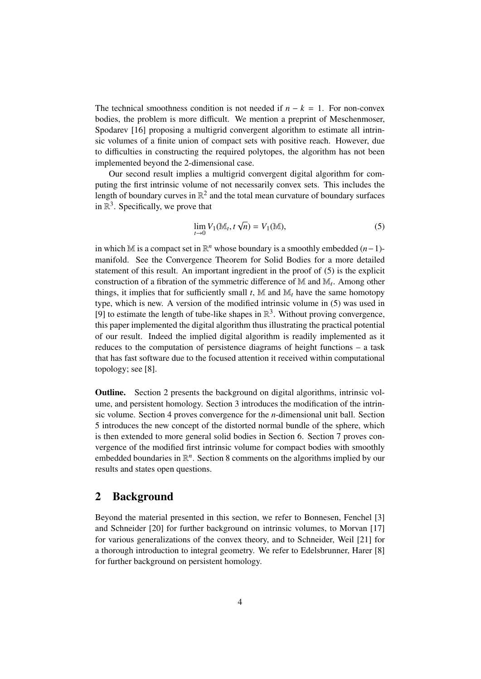The technical smoothness condition is not needed if  $n - k = 1$ . For non-convex bodies, the problem is more difficult. We mention a preprint of Meschenmoser, Spodarev [16] proposing a multigrid convergent algorithm to estimate all intrinsic volumes of a finite union of compact sets with positive reach. However, due to difficulties in constructing the required polytopes, the algorithm has not been implemented beyond the 2-dimensional case.

Our second result implies a multigrid convergent digital algorithm for computing the first intrinsic volume of not necessarily convex sets. This includes the length of boundary curves in  $\mathbb{R}^2$  and the total mean curvature of boundary surfaces in  $\mathbb{R}^3$ . Specifically, we prove that

$$
\lim_{t \to 0} V_1(\mathbb{M}_t, t\sqrt{n}) = V_1(\mathbb{M}), \tag{5}
$$

in which M is a compact set in  $\mathbb{R}^n$  whose boundary is a smoothly embedded  $(n-1)$ manifold. See the Convergence Theorem for Solid Bodies for a more detailed statement of this result. An important ingredient in the proof of (5) is the explicit construction of a fibration of the symmetric difference of M and M*<sup>t</sup>* . Among other things, it implies that for sufficiently small  $t$ , M and  $\mathbb{M}_t$  have the same homotopy type, which is new. A version of the modified intrinsic volume in (5) was used in [9] to estimate the length of tube-like shapes in  $\mathbb{R}^3$ . Without proving convergence, this paper implemented the digital algorithm thus illustrating the practical potential of our result. Indeed the implied digital algorithm is readily implemented as it reduces to the computation of persistence diagrams of height functions – a task that has fast software due to the focused attention it received within computational topology; see [8].

Outline. Section 2 presents the background on digital algorithms, intrinsic volume, and persistent homology. Section 3 introduces the modification of the intrinsic volume. Section 4 proves convergence for the *n*-dimensional unit ball. Section 5 introduces the new concept of the distorted normal bundle of the sphere, which is then extended to more general solid bodies in Section 6. Section 7 proves convergence of the modified first intrinsic volume for compact bodies with smoothly embedded boundaries in  $\mathbb{R}^n$ . Section 8 comments on the algorithms implied by our results and states open questions.

#### 2 Background

Beyond the material presented in this section, we refer to Bonnesen, Fenchel [3] and Schneider [20] for further background on intrinsic volumes, to Morvan [17] for various generalizations of the convex theory, and to Schneider, Weil [21] for a thorough introduction to integral geometry. We refer to Edelsbrunner, Harer [8] for further background on persistent homology.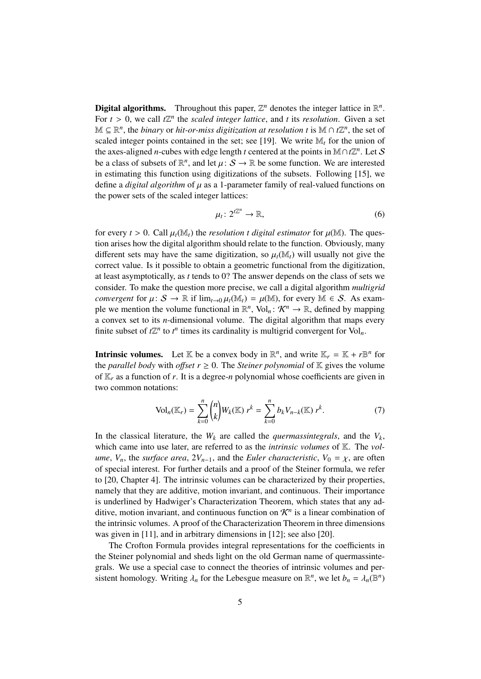**Digital algorithms.** Throughout this paper,  $\mathbb{Z}^n$  denotes the integer lattice in  $\mathbb{R}^n$ . For  $t > 0$ , we call  $t\mathbb{Z}^n$  the *scaled integer lattice*, and *t* its *resolution*. Given a set  $\mathbb{Z}^n \subset \mathbb{R}^n$  the hinary or hit or miss digitization at resolution t is  $\mathbb{M} \cap t\mathbb{Z}^n$  the set of  $M \subseteq \mathbb{R}^n$ , the *binary* or *hit-or-miss digitization at resolution t* is  $M \cap t\mathbb{Z}^n$ , the set of scaled integer points contained in the set; see [19]. We write  $\mathbb{M}_t$  for the union of the axes-aligned *n*-cubes with edge length *t* centered at the points in  $\mathbb{M} \cap t\mathbb{Z}^n$ . Let S be a class of subsets of  $\mathbb{R}^n$ , and let  $\mu: S \to \mathbb{R}$  be some function. We are interested<br>in estimating this function using digitizations of the subsets. Following [15], we in estimating this function using digitizations of the subsets. Following [15], we define a *digital algorithm* of  $\mu$  as a 1-parameter family of real-valued functions on the power sets of the scaled integer lattices:

$$
\mu_t \colon 2^{t\mathbb{Z}^n} \to \mathbb{R},\tag{6}
$$

for every  $t > 0$ . Call  $\mu_t(\mathbb{M}_t)$  the *resolution t digital estimator* for  $\mu(\mathbb{M})$ . The question arises how the digital algorithm should relate to the function. Obviously, many different sets may have the same digitization, so  $\mu_t(\mathbb{M}_t)$  will usually not give the correct value. Is it possible to obtain a geometric functional from the digitization, at least asymptotically, as *t* tends to 0? The answer depends on the class of sets we consider. To make the question more precise, we call a digital algorithm *multigrid convergent* for  $\mu: S \to \mathbb{R}$  if  $\lim_{t \to 0} \mu_t(\mathbb{M}_t) = \mu(\mathbb{M})$ , for every  $\mathbb{M} \in S$ . As example we mention the volume functional in  $\mathbb{R}^n$ , Vol<sub>n</sub>:  $\mathcal{K}^n \to \mathbb{R}$ , defined by mapping a convex set to its *n*-dimensional volume. The digital algorithm that maps every finite subset of  $t\mathbb{Z}^n$  to  $t^n$  times its cardinality is multigrid convergent for Vol<sub>n</sub>.

**Intrinsic volumes.** Let  $\mathbb{K}$  be a convex body in  $\mathbb{R}^n$ , and write  $\mathbb{K}_r = \mathbb{K} + r \mathbb{B}^n$  for the *parallel body* with *offset*  $r \geq 0$ . The *Steiner polynomial* of  $K$  gives the volume of  $\mathbb{K}_r$  as a function of *r*. It is a degree-*n* polynomial whose coefficients are given in two common notations:

$$
\text{Vol}_n(\mathbb{K}_r) = \sum_{k=0}^n \binom{n}{k} W_k(\mathbb{K}) \ r^k = \sum_{k=0}^n b_k V_{n-k}(\mathbb{K}) \ r^k. \tag{7}
$$

In the classical literature, the  $W_k$  are called the *quermassintegrals*, and the  $V_k$ , which came into use later, are referred to as the *intrinsic volumes* of K. The *volume*,  $V_n$ , the *surface area*,  $2V_{n-1}$ , and the *Euler characteristic*,  $V_0 = \chi$ , are often of special interest. For further details and a proof of the Steiner formula, we refer to [20, Chapter 4]. The intrinsic volumes can be characterized by their properties, namely that they are additive, motion invariant, and continuous. Their importance is underlined by Hadwiger's Characterization Theorem, which states that any additive, motion invariant, and continuous function on  $\mathcal{K}^n$  is a linear combination of the intrinsic volumes. A proof of the Characterization Theorem in three dimensions was given in [11], and in arbitrary dimensions in [12]; see also [20].

The Crofton Formula provides integral representations for the coefficients in the Steiner polynomial and sheds light on the old German name of quermassintegrals. We use a special case to connect the theories of intrinsic volumes and persistent homology. Writing  $\lambda_n$  for the Lebesgue measure on  $\mathbb{R}^n$ , we let  $b_n = \lambda_n(\mathbb{B}^n)$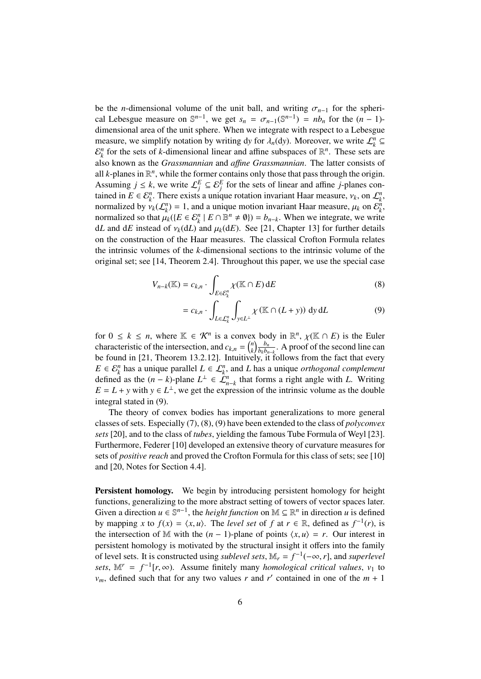be the *n*-dimensional volume of the unit ball, and writing  $\sigma_{n-1}$  for the spherical Lebesgue measure on  $\mathbb{S}^{n-1}$ , we get  $s_n = \sigma_{n-1}(\mathbb{S}^{n-1}) = nb_n$  for the  $(n-1)$ -<br>dimensional area of the unit sphere. When we integrate with respect to a Lebesgue dimensional area of the unit sphere. When we integrate with respect to a Lebesgue measure, we simplify notation by writing dy for  $\lambda_n$ (dy). Moreover, we write  $\mathcal{L}_k^n \subseteq$ <br> $\mathbb{R}^n$  for the sets of *k*-dimensional linear and affine subspaces of  $\mathbb{R}^n$ . These sets are  $\mathcal{E}_k^n$  for the sets of *k*-dimensional linear and affine subspaces of  $\mathbb{R}^n$ . These sets are also known as the *Grassmannian* and *a*ffi*ne Grassmannian*. The latter consists of all  $k$ -planes in  $\mathbb{R}^n$ , while the former contains only those that pass through the origin. Assuming  $j \leq k$ , we write  $\mathcal{L}_j^E \subseteq \mathcal{E}_j^E$  for the sets of linear and affine *j*-planes contained in  $E \in \mathcal{E}_k^n$ . There exists a unique rotation invariant Haar measure,  $v_k$ , on  $\mathcal{L}_k^n$ , normalized by  $v_k(f^n) = 1$ , and a unique motion invariant Haar measure,  $u_k$  on  $\mathcal{E}^n$ normalized by  $v_k(\mathcal{L}_k^n) = 1$ , and a unique motion invariant Haar measure,  $\mu_k$  on  $\mathcal{E}_k^n$ , normalized so that  $\mu_k(E \in \mathcal{E}^n \mid E \cap \mathbb{R}^n \neq \emptyset) = h$ . When we integrate we write normalized so that  $\mu_k({E \in \mathcal{E}_k^n \mid E \cap \mathbb{B}^n \neq \emptyset}) = b_{n-k}$ . When we integrate, we write d*L* and d*E* instead of  $v_k(dL)$  and  $\mu_k(dE)$ . See [21, Chapter 13] for further details on the construction of the Haar measures. The classical Crofton Formula relates the intrinsic volumes of the *k*-dimensional sections to the intrinsic volume of the original set; see [14, Theorem 2.4]. Throughout this paper, we use the special case

$$
V_{n-k}(\mathbb{K}) = c_{k,n} \cdot \int_{E \in \mathcal{E}_k^n} \chi(\mathbb{K} \cap E) dE \tag{8}
$$

$$
= c_{k,n} \cdot \int_{L \in \mathcal{L}_k^n} \int_{y \in L^\perp} \chi(\mathbb{K} \cap (L+y)) \, \mathrm{d}y \, \mathrm{d}L \tag{9}
$$

for  $0 \leq k \leq n$ , where  $\mathbb{K} \in \mathcal{K}^n$  is a convex body in  $\mathbb{R}^n$ ,  $\chi$ ( $\mathbb{K}$  ∩ *E*) is the Euler characteristic of the intersection, and  $c_{k,n} = \begin{pmatrix} n \\ n \end{pmatrix}$  $\binom{n}{k} \frac{b_n}{b_k b_n}$  $\frac{b_n}{b_k b_{n-k}}$ . A proof of the second line can be found in [21, Theorem 13.2.12]. Intuitively, it follows from the fact that every  $E \in \mathcal{E}_k^n$  has a unique parallel  $L \in \mathcal{L}_k^n$ , and *L* has a unique *orthogonal complement* defined as the  $(n - k)$ -plane  $L^{\perp} \in \mathcal{L}_{n-k}^{n}$  that forms a right angle with *L*. Writing  $E = L + y$  with  $y \in L^{\perp}$ , we get the expression of the intrinsic volume as the double integral stated in (9).

The theory of convex bodies has important generalizations to more general classes of sets. Especially (7), (8), (9) have been extended to the class of *polyconvex sets* [20], and to the class of *tubes*, yielding the famous Tube Formula of Weyl [23]. Furthermore, Federer [10] developed an extensive theory of curvature measures for sets of *positive reach* and proved the Crofton Formula for this class of sets; see [10] and [20, Notes for Section 4.4].

Persistent homology. We begin by introducing persistent homology for height functions, generalizing to the more abstract setting of towers of vector spaces later. Given a direction  $u \in \mathbb{S}^{n-1}$ , the *height function* on  $\mathbb{M} \subseteq \mathbb{R}^n$  in direction *u* is defined by mapping *x* to  $f(x) = \langle x, u \rangle$ . The *level set* of *f* at  $r \in \mathbb{R}$ , defined as  $f^{-1}(r)$ , is the intersection of M with the  $(n-1)$ -plane of points  $\langle x, u \rangle = r$ . Our interest in the intersection of M with the  $(n - 1)$ -plane of points  $\langle x, u \rangle = r$ . Our interest in persistent homology is motivated by the structural insight it offers into the family of level sets. It is constructed using *sublevel sets*,  $M_r = f^{-1}(-\infty, r]$ , and *superlevel*<br>sets  $M^r = f^{-1}(r \infty)$ . Assume finitely many homological critical values, y to *sets*,  $\mathbb{M}^r = f^{-1}[r, \infty)$ . Assume finitely many *homological critical values*, *v*<sub>1</sub> to  $\mathbb{M}^r$  defined such that for any two values *r* and *r'* contained in one of the *m* + 1  $v_m$ , defined such that for any two values *r* and *r'* contained in one of the  $m + 1$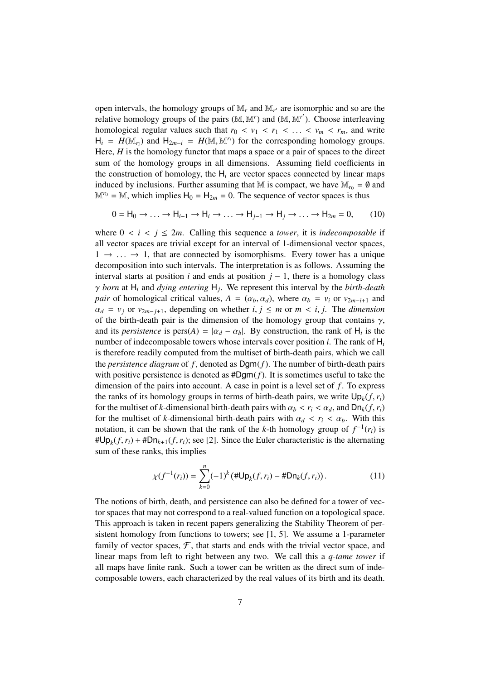open intervals, the homology groups of  $M_r$  and  $M_{r'}$  are isomorphic and so are the relative homology groups of the pairs  $(M, M^r)$  and  $(M, M^{r'})$ . Choose interleaving<br>homological reqular values such that  $r_0 \leq w_0 \leq r_1 \leq r_2 \leq r_1$  and write homological regular values such that  $r_0 < v_1 < r_1 < \ldots < v_m < r_m$ , and write  $H_i = H(M_{r_i})$  and  $H_{2m-i} = H(M, M^{r_i})$  for the corresponding homology groups.<br>Here *H* is the homology functor that mans a space or a pair of spaces to the direct Here, *H* is the homology functor that maps a space or a pair of spaces to the direct sum of the homology groups in all dimensions. Assuming field coefficients in the construction of homology, the  $H_i$  are vector spaces connected by linear maps induced by inclusions. Further assuming that M is compact, we have  $M_{r_0} = \emptyset$  and  $M^{\prime\prime} = M$ , which implies  $H_0 = H_{2m} = 0$ . The sequence of vector spaces is thus

$$
0 = H_0 \to \dots \to H_{i-1} \to H_i \to \dots \to H_{j-1} \to H_j \to \dots \to H_{2m} = 0,
$$
 (10)

where  $0 < i < j \le 2m$ . Calling this sequence a *tower*, it is *indecomposable* if all vector spaces are trivial except for an interval of 1-dimensional vector spaces,  $1 \rightarrow \ldots \rightarrow 1$ , that are connected by isomorphisms. Every tower has a unique decomposition into such intervals. The interpretation is as follows. Assuming the interval starts at position *i* and ends at position  $j - 1$ , there is a homology class *γ born* at H<sub>i</sub> and *dying entering* H<sub>j</sub>. We represent this interval by the *birth-death* nair of homological critical values  $A = (\alpha_1, \alpha_2)$ , where  $\alpha_2 = y_1$  or  $y_2 = y_1$  and *pair* of homological critical values,  $A = (\alpha_b, \alpha_d)$ , where  $\alpha_b = v_i$  or  $v_{2m-i+1}$  and  $\alpha_d = v_j$  or  $v_{2m-j+1}$ , depending on whether *i*,  $j \leq m$  or  $m < i$ , *j*. The *dimension* of the birth-death pair is the dimension of the homology group that contains  $\gamma$ , and its *persistence* is  $pers(A) = |\alpha_d - \alpha_b|$ . By construction, the rank of H<sub>i</sub> is the number of indecomposable towers whose intervals cover position *i*. The rank of H number of indecomposable towers whose intervals cover position *i*. The rank of H*<sup>i</sup>* is therefore readily computed from the multiset of birth-death pairs, which we call the *persistence diagram* of *f* , denoted as Dgm(*f*). The number of birth-death pairs with positive persistence is denoted as  $#Dgm(f)$ . It is sometimes useful to take the dimension of the pairs into account. A case in point is a level set of *f*. To express the ranks of its homology groups in terms of birth-death pairs, we write  $Up_k(f, r_i)$ <br>for the multiset of *k*-dimensional birth-death pairs with  $\alpha_i \le r_i \le \alpha_i$ , and  $Op_k(f, r_i)$ for the multiset of *k*-dimensional birth-death pairs with  $\alpha_b < r_i < \alpha_d$ , and  $Dn_k(f, r_i)$ for the multiset of *k*-dimensional birth-death pairs with  $\alpha_d < r_i < \alpha_b$ . With this notation, it can be shown that the rank of the *k*-th homology group of  $f^{-1}(r_i)$  is  $\#Up_k(f, r_i) + \#Dn_{k+1}(f, r_i)$ ; see [2]. Since the Euler characteristic is the alternating<br>sum of these ranks, this implies sum of these ranks, this implies

$$
\chi(f^{-1}(r_i)) = \sum_{k=0}^{n} (-1)^k (\# \mathsf{Up}_k(f, r_i) - \# \mathsf{D} \mathsf{n}_k(f, r_i)). \tag{11}
$$

The notions of birth, death, and persistence can also be defined for a tower of vector spaces that may not correspond to a real-valued function on a topological space. This approach is taken in recent papers generalizing the Stability Theorem of persistent homology from functions to towers; see [1, 5]. We assume a 1-parameter family of vector spaces,  $\mathcal{F}$ , that starts and ends with the trivial vector space, and linear maps from left to right between any two. We call this a *q-tame tower* if all maps have finite rank. Such a tower can be written as the direct sum of indecomposable towers, each characterized by the real values of its birth and its death.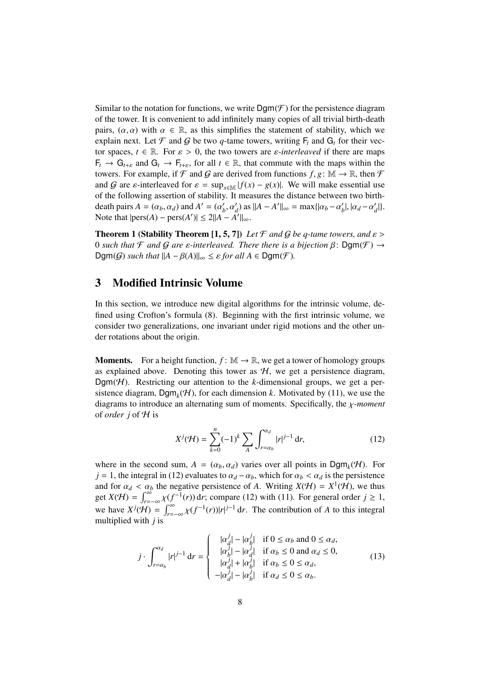Similar to the notation for functions, we write  $\text{Dgm}(\mathcal{F})$  for the persistence diagram of the tower. It is convenient to add infinitely many copies of all trivial birth-death pairs,  $(\alpha, \alpha)$  with  $\alpha \in \mathbb{R}$ , as this simplifies the statement of stability, which we explain next. Let  $\mathcal F$  and  $\mathcal G$  be two *q*-tame towers, writing  $F_t$  and  $G_t$  for their vector spaces,  $t \in \mathbb{R}$ . For  $\varepsilon > 0$ , the two towers are  $\varepsilon$ *-interleaved* if there are maps  $F_t \to G_{t+\varepsilon}$  and  $G_t \to F_{t+\varepsilon}$ , for all  $t \in \mathbb{R}$ , that commute with the maps within the towers. For example, if  $\mathcal F$  and  $\mathcal G$  are derived from functions  $f, g \colon \mathbb M \to \mathbb R$ , then  $\mathcal F$ and G are  $\varepsilon$ -interleaved for  $\varepsilon = \sup_{x \in \mathbb{M}} |f(x) - g(x)|$ . We will make essential use of the following assertion of stability. It measures the distance between two birthdeath pairs  $A = (\alpha_b, \alpha_d)$  and  $A' = (\alpha'_b)$ <br>Note that  $\text{hers}(A) = \text{pers}(A') < 2||A||$  $\int_{b}^{'}$ ,  $\alpha'_{d}$ ) as  $||A - A'||_{\infty} = \max\{| \alpha_{b} - \alpha'_{b}\}\$  $\alpha'_b$ <sup>|</sup>, | $\alpha_d - \alpha'_c$ *d* |}. Note that  $|pers(A) - pers(A')| \le 2||A - A'||_{\infty}$ .

**Theorem 1 (Stability Theorem [1, 5, 7])** *Let*  $\mathcal F$  *and*  $\mathcal G$  *be q-tame towers, and*  $\epsilon$  > 0 *such that*  $\mathcal F$  *and*  $\mathcal G$  *are*  $\varepsilon$ -interleaved. There there is a bijection  $\beta$ : Dgm( $\mathcal F$ )  $\rightarrow$  $\text{Dgm}(G)$  *such that*  $||A - \beta(A)||_{\infty} \leq \varepsilon$  *for all*  $A \in \text{Dgm}(\mathcal{F})$ *.* 

## 3 Modified Intrinsic Volume

In this section, we introduce new digital algorithms for the intrinsic volume, defined using Crofton's formula (8). Beginning with the first intrinsic volume, we consider two generalizations, one invariant under rigid motions and the other under rotations about the origin.

**Moments.** For a height function,  $f : \mathbb{M} \to \mathbb{R}$ , we get a tower of homology groups as explained above. Denoting this tower as  $H$ , we get a persistence diagram, Dgm( $H$ ). Restricting our attention to the *k*-dimensional groups, we get a persistence diagram,  $\text{Dgm}_k(\mathcal{H})$ , for each dimension *k*. Motivated by (11), we use the diagrams to introduce an alternating sum of moments. Specifically, the χ*-moment* of *order j* of H is

$$
X^{j}(\mathcal{H}) = \sum_{k=0}^{n} (-1)^{k} \sum_{A} \int_{r=\alpha_{b}}^{\alpha_{d}} |r|^{j-1} \, \mathrm{d}r,\tag{12}
$$

where in the second sum,  $A = (\alpha_b, \alpha_d)$  varies over all points in Dgm<sub>k</sub>(H). For  $i = 1$ , the integral in (12) evaluates to  $\alpha_i = \alpha_i$ , which for  $\alpha_i \leq \alpha_i$  is the percistance *j* = 1, the integral in (12) evaluates to  $\alpha_d - \alpha_b$ , which for  $\alpha_b < \alpha_d$  is the persistence and for  $\alpha_d < \alpha_b$  the negative persistence of *A*. Writing  $X(\mathcal{H}) = X^1(\mathcal{H})$ , we thus get  $X(H) = \int_{r=-\infty}^{\infty} \chi(f^{-1}(r)) dr$ ; compare (12) with (11). For general order  $j \ge 1$ , we have  $X^{j}(\mathcal{H}) = \int_{r=-\infty}^{\infty} \chi(f^{-1}(r)) |r|^{j-1} dr$ . The contribution of *A* to this integral multiplied with *i* is multiplied with *j* is

$$
j \cdot \int_{r=\alpha_b}^{\alpha_d} |r|^{j-1} dr = \begin{cases} \quad |\alpha_d^j| - |\alpha_b^j| & \text{if } 0 \le \alpha_b \text{ and } 0 \le \alpha_d, \\ \quad |\alpha_b^j| - |\alpha_d^j| & \text{if } \alpha_b \le 0 \text{ and } \alpha_d \le 0, \\ \quad |\alpha_d^j| + |\alpha_b^j| & \text{if } \alpha_b \le 0 \le \alpha_d, \\ \quad - |\alpha_d^j| - |\alpha_b^j| & \text{if } \alpha_d \le 0 \le \alpha_b. \end{cases} \tag{13}
$$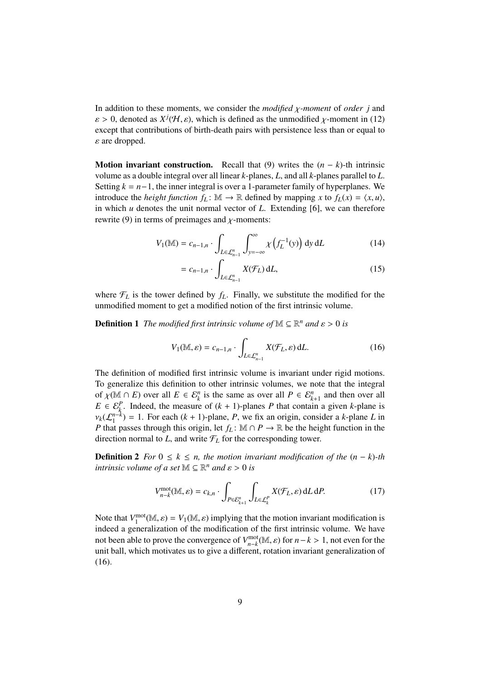In addition to these moments, we consider the *modified* χ*-moment* of *order j* and  $\varepsilon > 0$ , denoted as  $X^j(\mathcal{H}, \varepsilon)$ , which is defined as the unmodified  $\chi$ -moment in (12) except that contributions of birth-death pairs with persistence less than or equal to  $\varepsilon$  are dropped.

**Motion invariant construction.** Recall that (9) writes the  $(n - k)$ -th intrinsic volume as a double integral over all linear *k*-planes, *L*, and all *k*-planes parallel to *L*. Setting  $k = n-1$ , the inner integral is over a 1-parameter family of hyperplanes. We introduce the *height function*  $f_L$ :  $\mathbb{M} \to \mathbb{R}$  defined by mapping *x* to  $f_L(x) = \langle x, u \rangle$ , in which *u* denotes the unit normal vector of *L*. Extending [6], we can therefore rewrite (9) in terms of preimages and  $\chi$ -moments:

$$
V_1(\mathbb{M}) = c_{n-1,n} \cdot \int_{L \in \mathcal{L}_{n-1}^n} \int_{y=-\infty}^{\infty} \chi\left(f_L^{-1}(y)\right) dy dL \tag{14}
$$

$$
= c_{n-1,n} \cdot \int_{L \in \mathcal{L}_{n-1}^n} X(\mathcal{F}_L) dL,
$$
\n(15)

where  $\mathcal{F}_L$  is the tower defined by  $f_L$ . Finally, we substitute the modified for the unmodified moment to get a modified notion of the first intrinsic volume.

**Definition 1** The modified first intrinsic volume of  $\mathbb{M} \subseteq \mathbb{R}^n$  and  $\varepsilon > 0$  is

$$
V_1(\mathbb{M}, \varepsilon) = c_{n-1,n} \cdot \int_{L \in \mathcal{L}_{n-1}^n} X(\mathcal{F}_L, \varepsilon) dL. \tag{16}
$$

The definition of modified first intrinsic volume is invariant under rigid motions. To generalize this definition to other intrinsic volumes, we note that the integral of  $\chi(\mathbb{M} \cap E)$  over all  $E \in \mathcal{E}_k^n$  is the same as over all  $P \in \mathcal{E}_{k+1}^n$  and then over all  $F \in \mathcal{E}_k^p$ . Indeed, the measure of  $(k+1)$ -planes *P* that contain a given *k*-plane is  $E \in \mathcal{E}_k^P$ . Indeed, the measure of  $(k + 1)$ -planes *P* that contain a given *k*-plane is  $v_k(\mathcal{L}_1^{n-k}) = 1$ . For each  $(k + 1)$ -plane, *P*, we fix an origin, consider a *k*-plane *L* in<br>*P* that passes through this origin, let  $f_k : \mathbb{M} \cap P \to \mathbb{R}$  be the height function in the *P* that passes through this origin, let  $f_L$ : M ∩ *P*  $\rightarrow$  R be the height function in the direction normal to  $L$ , and write  $\mathcal{F}_L$  for the corresponding tower.

**Definition 2** *For*  $0 \le k \le n$ , the motion invariant modification of the  $(n - k)$ -th *intrinsic volume of a set*  $M \subseteq \mathbb{R}^n$  *and*  $\varepsilon > 0$  *is* 

$$
V_{n-k}^{\text{mot}}(\mathbb{M}, \varepsilon) = c_{k,n} \cdot \int_{P \in \mathcal{E}_{k+1}^n} \int_{L \in \mathcal{L}_k^P} X(\mathcal{F}_L, \varepsilon) dL dP.
$$
 (17)

Note that  $V_1^{\text{mot}}(\mathbb{M}, \varepsilon) = V_1(\mathbb{M}, \varepsilon)$  implying that the motion invariant modification is<br>indeed a generalization of the modification of the first intrinsic volume. We have indeed a generalization of the modification of the first intrinsic volume. We have not been able to prove the convergence of  $V_{n-k}^{\text{mot}}(M, \varepsilon)$  for  $n-k > 1$ , not even for the unit ball, which motivates us to give a different rotation invariant generalization of unit ball, which motivates us to give a different, rotation invariant generalization of (16).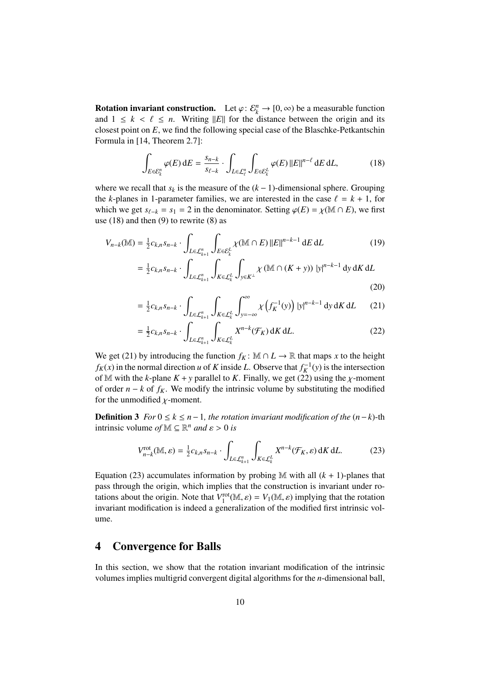**Rotation invariant construction.** Let  $\varphi: \mathcal{E}_k^n \to [0, \infty)$  be a measurable function and  $1 \le k \le \ell \le n$ . Writing  $||E||$  for the distance between the origin and its and  $1 \leq k < \ell \leq n$ . Writing  $||E||$  for the distance between the origin and its closest point on *E*, we find the following special case of the Blaschke-Petkantschin Formula in [14, Theorem 2.7]:

$$
\int_{E \in \mathcal{E}_k^n} \varphi(E) dE = \frac{s_{n-k}}{s_{\ell-k}} \cdot \int_{L \in \mathcal{L}_\ell^n} \int_{E \in \mathcal{E}_k^L} \varphi(E) ||E||^{n-\ell} dE dL, \tag{18}
$$

where we recall that  $s_k$  is the measure of the  $(k-1)$ -dimensional sphere. Grouping the *k*-planes in 1-parameter families, we are interested in the case  $\ell = k + 1$ , for which we get  $s_{\ell-k} = s_1 = 2$  in the denominator. Setting  $\varphi(E) = \chi(\mathbb{M} \cap E)$ , we first use  $(18)$  and then  $(9)$  to rewrite  $(8)$  as

$$
V_{n-k}(\mathbb{M}) = \frac{1}{2}c_{k,n}S_{n-k} \cdot \int_{L \in \mathcal{L}_{k+1}^n} \int_{E \in \mathcal{E}_k^L} \chi(\mathbb{M} \cap E) ||E||^{n-k-1} dE dL \tag{19}
$$

$$
= \frac{1}{2} c_{k,n} s_{n-k} \cdot \int_{L \in \mathcal{L}_{k+1}^n} \int_{K \in \mathcal{L}_k^L} \int_{y \in K^{\perp}} \chi \left( \mathbb{M} \cap (K+y) \right) \left| y \right|^{n-k-1} dy \, dK \, dL
$$
\n(20)

$$
= \frac{1}{2} c_{k,n} s_{n-k} \cdot \int_{L \in \mathcal{L}_{k+1}^n} \int_{K \in \mathcal{L}_k^L} \int_{y=-\infty}^{\infty} \chi \left( f_K^{-1}(y) \right) |y|^{n-k-1} dy \, dK \, dL \qquad (21)
$$

$$
= \frac{1}{2} c_{k,n} s_{n-k} \cdot \int_{L \in \mathcal{L}_{k+1}^n} \int_{K \in \mathcal{L}_k^L} X^{n-k} (\mathcal{F}_K) \, dK \, dL. \tag{22}
$$

We get (21) by introducing the function  $f_K$ : M  $\cap$  *L*  $\rightarrow \mathbb{R}$  that maps *x* to the height  $f_K(x)$  in the normal direction *u* of *K* inside *L*. Observe that  $f_K^{-1}(y)$  is the intersection of M with the *k*-plane  $K + y$  parallel to *K*. Finally, we get (22) using the *χ*-moment of order  $n - k$  of  $f_K$ . We modify the intrinsic volume by substituting the modified for the unmodified  $\chi$ -moment.

**Definition 3** *For*  $0 \le k \le n-1$ *, the rotation invariant modification of the*  $(n-k)$ -th intrinsic volume *of*  $M \subseteq \mathbb{R}^n$  *and*  $\varepsilon > 0$  *is* 

$$
V_{n-k}^{\text{rot}}(\mathbb{M}, \varepsilon) = \frac{1}{2} c_{k,n} s_{n-k} \cdot \int_{L \in \mathcal{L}_{k+1}^n} \int_{K \in \mathcal{L}_k^L} X^{n-k}(\mathcal{F}_K, \varepsilon) dK dL.
$$
 (23)

Equation (23) accumulates information by probing  $M$  with all  $(k + 1)$ -planes that pass through the origin, which implies that the construction is invariant under rotations about the origin. Note that  $V_1^{\text{rot}}(\mathbb{M}, \varepsilon) = V_1(\mathbb{M}, \varepsilon)$  implying that the rotation<br>invariant modification is indeed a generalization of the modified first intrinsic volinvariant modification is indeed a generalization of the modified first intrinsic volume.

### 4 Convergence for Balls

In this section, we show that the rotation invariant modification of the intrinsic volumes implies multigrid convergent digital algorithms for the *n*-dimensional ball,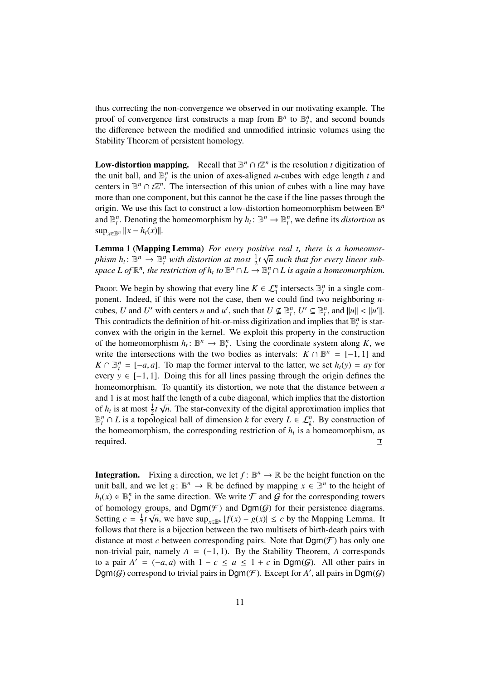thus correcting the non-convergence we observed in our motivating example. The proof of convergence first constructs a map from  $\mathbb{B}^n$  to  $\mathbb{B}_t^n$ , and second bounds the difference between the modified and unmodified intrinsic volumes using the Stability Theorem of persistent homology.

**Low-distortion mapping.** Recall that  $\mathbb{B}^n \cap t\mathbb{Z}^n$  is the resolution *t* digitization of the unit ball, and  $\mathbb{B}_t^n$  is the union of axes-aligned *n*-cubes with edge length *t* and centers in  $\mathbb{B}^n \cap \ell \mathbb{Z}^n$ . The intersection of this union of cubes with a line may have more than one component, but this cannot be the case if the line passes through the origin. We use this fact to construct a low-distortion homeomorphism between B *n* and  $\mathbb{B}_t^n$ . Denoting the homeomorphism by  $h_t: \mathbb{B}^n \to \mathbb{B}_t^n$ , we define its *distortion* as  $\sup_{x \in \mathbb{R}^n} ||x - h_t(x)||.$ 

**Lemma 1 (Mapping Lemma)** *For every positive real t, there is a homeomorphism*  $h_t: \mathbb{B}^n \to \mathbb{B}^n_t$  *with distortion at most*  $\frac{1}{2}t\sqrt{n}$  *such that for every linear sub*space  $L$  of  $\mathbb{R}^n$ , the restriction of  $h_t$  to  $\mathbb{B}^n \cap L \stackrel{\sim}{\to} \mathbb{B}^n_t \cap L$  is again a homeomorphism.

Proof. We begin by showing that every line  $K \in \mathcal{L}_1^n$  intersects  $\mathbb{B}_t^n$  in a single component. Indeed, if this were not the case, then we could find two neighboring *n*cubes, *U* and *U'* with centers *u* and *u'*, such that  $U \nsubseteq \mathbb{B}_t^n$ ,  $U' \subseteq \mathbb{B}_t^n$ , and  $||u|| < ||u'||$ .<br>This contradicts the definition of hit-or-miss digitization and implies that  $\mathbb{R}^n$  is star-This contradicts the definition of hit-or-miss digitization and implies that  $\mathbb{B}_t^n$  is starconvex with the origin in the kernel. We exploit this property in the construction of the homeomorphism  $h_t: \mathbb{B}^n \to \mathbb{B}_t^n$ . Using the coordinate system along *K*, we write the intersections with the two bodies as intervals:  $K \cap \mathbb{B}^n = [-1, 1]$  and  $K \cap \mathbb{R}^n = [-a, a]$ . To map the former interval to the latter, we set  $h(x) = ay$  for  $K \cap \mathbb{B}_{t}^{n} = [-a, a]$ . To map the former interval to the latter, we set  $h_t(y) = ay$  for every  $y \in [-1, 1]$ . Doing this for all lines passing through the origin defines the every *<sup>y</sup>* <sup>∈</sup> [−1, 1]. Doing this for all lines passing through the origin defines the homeomorphism. To quantify its distortion, we note that the distance between *a* and 1 is at most half the length of a cube diagonal, which implies that the distortion of  $h_t$  is at most  $\frac{1}{2}t\sqrt{n}$ . The star-convexity of the digital approximation implies that  $\mathbb{B}_{t}^{n}$  ∩ *L* is a topological ball of dimension *k* for every *L* ∈  $\mathcal{L}_{k}^{n}$ . By construction of the homeomorphism, the corresponding restriction of  $h_t$  is a homeomorphism, as required. 凹

**Integration.** Fixing a direction, we let  $f: \mathbb{B}^n \to \mathbb{R}$  be the height function on the unit ball, and we let  $g: \mathbb{B}^n \to \mathbb{R}$  be defined by mapping  $x \in \mathbb{B}^n$  to the height of  $h_t(x)$  ∈  $\mathbb{B}_t^n$  in the same direction. We write  $\mathcal F$  and  $\mathcal G$  for the corresponding towers of homology groups, and Dgm( $\mathcal{F}$ ) and Dgm( $\mathcal{G}$ ) for their persistence diagrams. Setting  $c = \frac{1}{2}$  $\frac{1}{2}$ *t* √*n*, we have sup<sub>*x*∈B<sup>*n*</sup></sub> |*f*(*x*) − *g*(*x*)| ≤ *c* by the Mapping Lemma. It follows that there is a bijection between the two multisets of birth-death pairs with distance at most  $c$  between corresponding pairs. Note that  $\mathsf{Dgm}(\mathcal{F})$  has only one non-trivial pair, namely  $A = (-1, 1)$ . By the Stability Theorem, *A* corresponds to a pair  $A' = (-a, a)$  with  $1 - c \le a \le 1 + c$  in Dgm( $G$ ). All other pairs in Dgm( $G$ ) correspond to trivial pairs in Dgm( $F$ ). Except for  $A'$  all pairs in Dgm( $G$ )  $\mathsf{Dgm}(G)$  correspond to trivial pairs in  $\mathsf{Dgm}(\mathcal{F})$ . Except for A', all pairs in  $\mathsf{Dgm}(G)$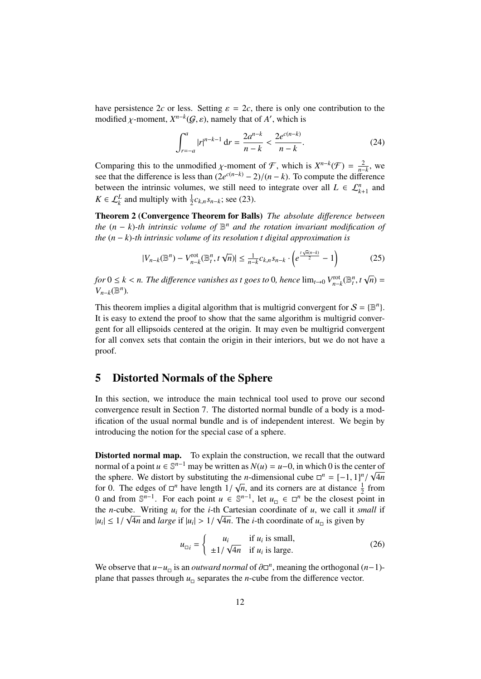have persistence 2*c* or less. Setting  $\varepsilon = 2c$ , there is only one contribution to the modified  $\chi$ -moment,  $X^{n-k}(\mathcal{G}, \varepsilon)$ , namely that of  $A'$ , which is

$$
\int_{r=-a}^{a} |r|^{n-k-1} \, \mathrm{d}r = \frac{2a^{n-k}}{n-k} < \frac{2e^{c(n-k)}}{n-k}.\tag{24}
$$

Comparing this to the unmodified *χ*-moment of *F*, which is *X<sup>n−k</sup>*(*F*) =  $\frac{2}{n-k}$ , we see that the difference is less than  $(2e^{c(n-k)} - 2)/(n-k)$ . To compute the difference see that the difference is less than  $(2e^{c(n-k)} - 2)/(n - k)$ . To compute the difference<br>between the intrinsic volumes, we still need to integrate over all  $L \in \mathbb{C}^n$  and between the intrinsic volumes, we still need to integrate over all  $L \in \mathcal{L}_{k+1}^n$  and  $K \in \mathcal{L}_{k}^{L}$  and multiply with  $\frac{1}{2}c_{k,n} s_{n-k}$ ; see (23).

Theorem 2 (Convergence Theorem for Balls) *The absolute di*ff*erence between the*  $(n - k)$ -th intrinsic volume of  $\mathbb{B}^n$  and the rotation invariant modification of *the* (*n* − *k*)*-th intrinsic volume of its resolution t digital approximation is*

$$
|V_{n-k}(\mathbb{B}^n) - V_{n-k}^{\text{rot}}(\mathbb{B}_t^n, t \sqrt{n})| \le \frac{1}{n-k} c_{k,n} s_{n-k} \cdot \left(e^{\frac{t \sqrt{n}(n-k)}{2}} - 1\right)
$$
 (25)

*for*  $0 \leq k < n$ . The difference vanishes as t goes to 0, hence  $\lim_{t\to 0} V_{n-k}^{\text{rot}}(\mathbb{B}_{t}^{n}, t)$ √ *n*) = *V*<sup>*n*</sup>−*k*( $\mathbb{B}^n$ )*.* 

This theorem implies a digital algorithm that is multigrid convergent for  $S = \{B^n\}$ . It is easy to extend the proof to show that the same algorithm is multigrid convergent for all ellipsoids centered at the origin. It may even be multigrid convergent for all convex sets that contain the origin in their interiors, but we do not have a proof.

### 5 Distorted Normals of the Sphere

In this section, we introduce the main technical tool used to prove our second convergence result in Section 7. The distorted normal bundle of a body is a modification of the usual normal bundle and is of independent interest. We begin by introducing the notion for the special case of a sphere.

Distorted normal map. To explain the construction, we recall that the outward normal of a point *u* ∈  $\mathbb{S}^{n-1}$  may be written as *N*(*u*) = *u*−0, in which 0 is the center of the sphere. We distort by substituting the *n*-dimensional cube  $\Box^n = [-1, 1]^n / \sqrt{4n}$ <br>for 0. The edges of  $\Box^n$  have length  $1 / \sqrt{n}$  and its corners are at distance  $\frac{1}{n}$  from for 0. The edges of  $\Box^n$  have length  $1/\sqrt{n}$ , and its corners are at distance  $\frac{1}{2}$  from<br>0 and from  $\mathbb{S}^{n-1}$ . For each point  $u \in \mathbb{S}^{n-1}$ , let  $u \in \Box^n$  be the closest point in 0 and from  $\mathbb{S}^{n-1}$ . For each point *u* ∈  $\mathbb{S}^{n-1}$ , let *u*<sub>□</sub> ∈ □<sup>*n*</sup> be the closest point in the *n*-cube. Writing  $u_i$  for the *i*-th Cartesian coordinate of *u*, we call it *small* if  $|u_i| \leq 1/\sqrt{4n}$  and *large* if  $|u_i| > 1/\sqrt{4n}$ . The *i*-th coordinate of  $u_{\text{D}}$  is given by

$$
u_{\text{u}_i} = \begin{cases} u_i & \text{if } u_i \text{ is small,} \\ \pm 1/\sqrt{4n} & \text{if } u_i \text{ is large.} \end{cases}
$$
 (26)

We observe that  $u - u_{\square}$  is an *outward normal* of  $\partial \square^n$ , meaning the orthogonal  $(n-1)$ -<br>plane that passes through  $u_{\square}$  separates the *n* cube from the difference vector. plane that passes through  $u_{\square}$  separates the *n*-cube from the difference vector.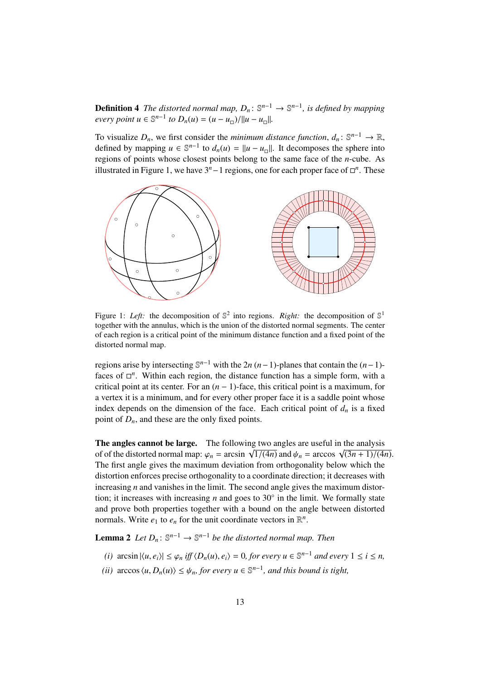**Definition 4** The distorted normal map,  $D_n: \mathbb{S}^{n-1} \to \mathbb{S}^{n-1}$ , is defined by mapping *every point*  $u \in \mathbb{S}^{n-1}$  *to*  $D_n(u) = (u - u_{\Box})/||u - u_{\Box}||$ .

To visualize  $D_n$ , we first consider the *minimum distance function*,  $d_n: \mathbb{S}^{n-1} \to \mathbb{R}$ , defined by mapping  $u \in \mathbb{S}^{n-1}$  to  $d_n(u) = ||u - u_0||$ . It decomposes the sphere into regions of points whose closest points belong to the same face of the *n*-cube. As illustrated in Figure 1, we have 3<sup>*n*</sup> − 1 regions, one for each proper face of  $\Box$ <sup>*n*</sup>. These



Figure 1: Left: the decomposition of  $\mathbb{S}^2$  into regions. *Right*: the decomposition of  $\mathbb{S}^1$ together with the annulus, which is the union of the distorted normal segments. The center of each region is a critical point of the minimum distance function and a fixed point of the distorted normal map.

regions arise by intersecting  $\mathbb{S}^{n-1}$  with the 2*n* (*n*−1)-planes that contain the (*n*−1)faces of  $\Box$ <sup>n</sup>. Within each region, the distance function has a simple form, with a critical point at its center. For an  $(n - 1)$ -face, this critical point is a maximum, for a vertex it is a minimum, and for every other proper face it is a saddle point whose index depends on the dimension of the face. Each critical point of  $d<sub>n</sub>$  is a fixed point of  $D_n$ , and these are the only fixed points.

The angles cannot be large. The following two angles are useful in the analysis The angles cannot be large. The following two angles are useful in the analysis<br>of of the distorted normal map:  $\varphi_n = \arcsin \sqrt{1/(4n)}$  and  $\psi_n = \arccos \sqrt{(3n+1)/(4n)}$ .<br>The first angle gives the maximum deviation from orthogonality The first angle gives the maximum deviation from orthogonality below which the distortion enforces precise orthogonality to a coordinate direction; it decreases with increasing *n* and vanishes in the limit. The second angle gives the maximum distortion; it increases with increasing  $n$  and goes to  $30^\circ$  in the limit. We formally state and prove both properties together with a bound on the angle between distorted normals. Write  $e_1$  to  $e_n$  for the unit coordinate vectors in  $\mathbb{R}^n$ .

**Lemma 2** Let  $D_n$ :  $\mathbb{S}^{n-1} \to \mathbb{S}^{n-1}$  be the distorted normal map. Then

- *(i)* arcsin  $|\langle u, e_i \rangle| \leq \varphi_n$  *iff*  $\langle D_n(u), e_i \rangle = 0$ , for every  $u \in \mathbb{S}^{n-1}$  *and every*  $1 \leq i \leq n$ ,
- *(ii)* arccos  $\langle u, D_n(u) \rangle \leq \psi_n$ , for every  $u \in \mathbb{S}^{n-1}$ , and this bound is tight,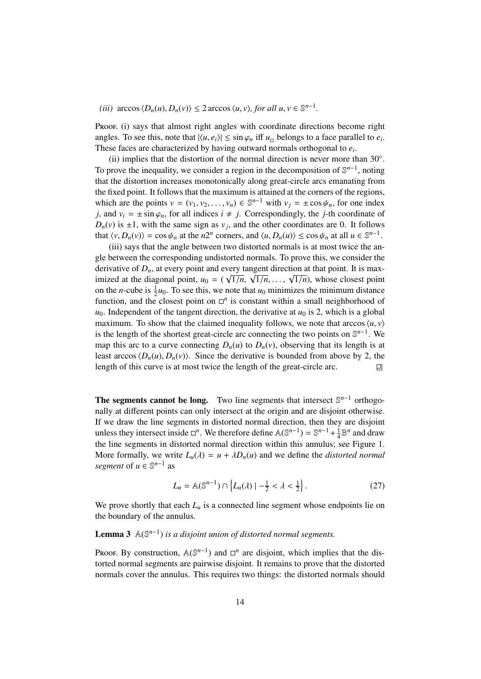*(iii)* arccos  $\langle D_n(u), D_n(v) \rangle \leq 2$  arccos  $\langle u, v \rangle$ , for all  $u, v \in \mathbb{S}^{n-1}$ .

Proof. (i) says that almost right angles with coordinate directions become right angles. To see this, note that  $|\langle u, e_i \rangle| \leq \sin \varphi_n$  iff  $u_{\Box}$  belongs to a face parallel to  $e_i$ .<br>These faces are characterized by having outward pormals orthogonal to  $e_i$ . These faces are characterized by having outward normals orthogonal to *e<sup>i</sup>* .

(ii) implies that the distortion of the normal direction is never more than 30°. To prove the inequality, we consider a region in the decomposition of  $\mathbb{S}^{n-1}$ , noting that the distortion increases monotonically along great-circle arcs emanating from the fixed point. It follows that the maximum is attained at the corners of the regions, which are the points  $v = (v_1, v_2, \dots, v_n) \in \mathbb{S}^{n-1}$  with  $v_j = \pm \cos \psi_n$ , for one index i and  $v_i = \pm \sin \psi$ , for all indices  $i \neq i$ . Correspondingly, the *i* th coordinate of *j*, and  $v_i = \pm \sin \varphi_n$ , for all indices  $i \neq j$ . Correspondingly, the *j*-th coordinate of  $D_n(v)$  is  $\pm 1$ , with the same sign as  $v_j$ , and the other coordinates are 0. It follows that  $\langle v, D_n(v) \rangle = \cos \psi_n$  at the *n*<sup>2*n*</sup> corners, and  $\langle u, D_n(u) \rangle \le \cos \psi_n$  at all  $u \in \mathbb{S}^{n-1}$ .<br>(iii) says that the angle between two distorted normals is at most twice the an

(iii) says that the angle between two distorted normals is at most twice the angle between the corresponding undistorted normals. To prove this, we consider the derivative of  $D_n$ , at every point and every tangent direction at that point. It is maximized at the diagonal point,  $u_0 = (\sqrt{1/n}, \sqrt{1/n}, \ldots, \sqrt{1/n})$ , whose closest point<br>on the *n* cube is  $\frac{1}{2}u_0$ . To see this we note that *u*<sub>c</sub> minimizes</sub> the minimum distance on the *n*-cube is  $\frac{1}{2}u_0$ . To see this, we note that  $u_0$  minimizes the minimum distance function, and the closest point on  $\Box$ <sup>n</sup> is constant within a small neighborhood of  $u_0$ . Independent of the tangent direction, the derivative at  $u_0$  is 2, which is a global maximum. To show that the claimed inequality follows, we note that arccos  $\langle u, v \rangle$ is the length of the shortest great-circle arc connecting the two points on  $\mathbb{S}^{n-1}$ . We map this arc to a curve connecting  $D_n(u)$  to  $D_n(v)$ , observing that its length is at least arccos  $\langle D_n(u), D_n(v) \rangle$ . Since the derivative is bounded from above by 2, the length of this curve is at most twice the length of the great-circle arc. length of this curve is at most twice the length of the great-circle arc.

The segments cannot be long. Two line segments that intersect  $\mathbb{S}^{n-1}$  orthogonally at different points can only intersect at the origin and are disjoint otherwise. If we draw the line segments in distorted normal direction, then they are disjoint unless they intersect inside  $\Box^n$ . We therefore define  $\mathbb{A}(\mathbb{S}^{n-1}) = \mathbb{S}^{n-1} + \frac{1}{4}$  $\frac{1}{4} \mathbb{B}^n$  and draw the line segments in distorted normal direction within this annulus; see Figure 1. More formally, we write  $L_u(\lambda) = u + \lambda D_u(u)$  and we define the *distorted normal segment* of  $u \in \mathbb{S}^{n-1}$  as

$$
L_u = \mathbb{A}(\mathbb{S}^{n-1}) \cap \left\{ L_u(\lambda) \mid -\frac{1}{2} < \lambda < \frac{1}{2} \right\}.\tag{27}
$$

We prove shortly that each  $L<sub>u</sub>$  is a connected line segment whose endpoints lie on the boundary of the annulus.

### **Lemma 3**  $\mathbb{A}(\mathbb{S}^{n-1})$  *is a disjoint union of distorted normal segments.*

Proof. By construction,  $\mathbb{A}(\mathbb{S}^{n-1})$  and  $\Box^n$  are disjoint, which implies that the distorted normal segments are pairwise disjoint. It remains to prove that the distorted normals cover the annulus. This requires two things: the distorted normals should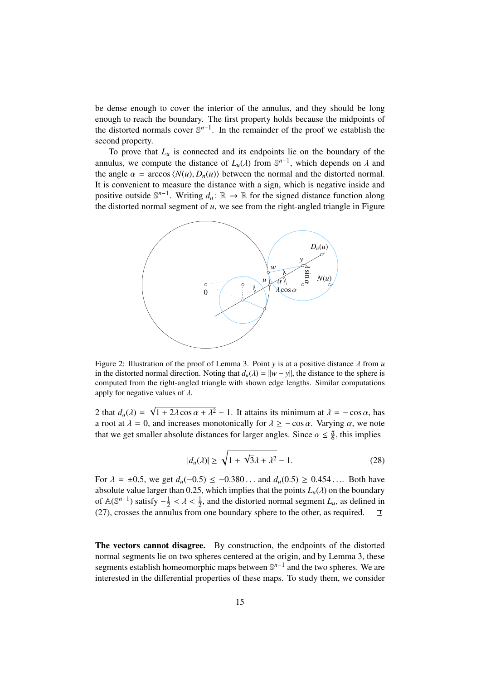be dense enough to cover the interior of the annulus, and they should be long enough to reach the boundary. The first property holds because the midpoints of the distorted normals cover  $\mathbb{S}^{n-1}$ . In the remainder of the proof we establish the second property.

To prove that  $L<sub>u</sub>$  is connected and its endpoints lie on the boundary of the annulus, we compute the distance of  $L_u(\lambda)$  from  $\mathbb{S}^{n-1}$ , which depends on  $\lambda$  and the angle  $\alpha = \arccos(N(u), D_u(\lambda))$  between the normal and the distorted normal the angle  $\alpha = \arccos \langle N(u), D_n(u) \rangle$  between the normal and the distorted normal. It is convenient to measure the distance with a sign, which is negative inside and positive outside  $\mathbb{S}^{n-1}$ . Writing  $d_u : \mathbb{R} \to \mathbb{R}$  for the signed distance function along the distorted normal segment of *u*, we see from the right-angled triangle in Figure



Figure 2: Illustration of the proof of Lemma 3. Point *<sup>y</sup>* is at a positive distance λ from *<sup>u</sup>* in the distorted normal direction. Noting that  $d_u(\lambda) = ||w - y||$ , the distance to the sphere is computed from the right-angled triangle with shown edge lengths. Similar computations apply for negative values of  $\lambda$ .

2 that  $d_u(\lambda) =$ <br>a root at  $\lambda = 0$ √  $1 + 2\lambda \cos \alpha + \lambda^2 - 1$ . It attains its minimum at  $\lambda = -\cos \alpha$ , has a root at  $\lambda = 0$ , and increases monotonically for  $\lambda \ge -\cos \alpha$ . Varying  $\alpha$ , we note that we get smaller absolute distances for larger angles. Since  $\alpha \leq \frac{\pi}{6}$ , this implies

$$
|d_u(\lambda)| \ge \sqrt{1 + \sqrt{3}\lambda + \lambda^2} - 1.
$$
 (28)

For  $\lambda = \pm 0.5$ , we get  $d_u(-0.5) \leq -0.380...$  and  $d_u(0.5) \geq 0.454...$  Both have absolute value larger than 0.25, which implies that the points  $L_u(\lambda)$  on the boundary of  $\mathbb{A}(\mathbb{S}^{n-1})$  satisfy  $-\frac{1}{2}$  $\frac{1}{2} < \lambda < \frac{1}{2}$ , and the distorted normal segment  $L_u$ , as defined in ulus from one boundary sphere to the other as required (27), crosses the annulus from one boundary sphere to the other, as required.  $\Box$ 

The vectors cannot disagree. By construction, the endpoints of the distorted normal segments lie on two spheres centered at the origin, and by Lemma 3, these segments establish homeomorphic maps between  $\mathbb{S}^{n-1}$  and the two spheres. We are interested in the differential properties of these maps. To study them, we consider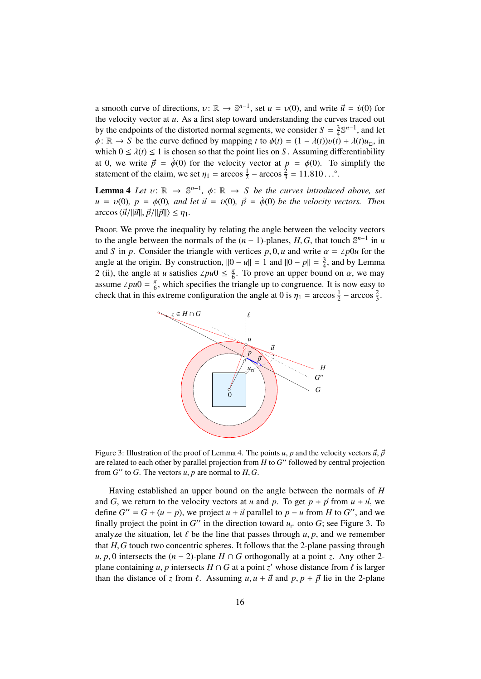a smooth curve of directions,  $v: \mathbb{R} \to \mathbb{S}^{n-1}$ , set  $u = v(0)$ , and write  $\vec{u} = \dot{v}(0)$  for<br>the velocity vector at *u*. As a first step toward understanding the curves traced out the velocity vector at *u*. As a first step toward understanding the curves traced out by the endpoints of the distorted normal segments, we consider  $S = \frac{3}{4}$  $\frac{3}{4} \mathbb{S}^{n-1}$ , and let  $\phi: \mathbb{R} \to S$  be the curve defined by mapping *t* to  $\phi(t) = (1 - \lambda(t))v(t) + \lambda(t)u_{\Box}$ , in which  $0 \le \lambda(t) \le 1$  is chosen so that the point lies on S. Assuming differentiability which  $0 \le \lambda(t) \le 1$  is chosen so that the point lies on *S*. Assuming differentiability at 0, we write  $\vec{p} = \dot{\phi}(0)$  for the velocity vector at  $p = \phi(0)$ . To simplify the statement of the claim, we set  $\eta_1 = \arccos \frac{1}{2} - \arccos \frac{2}{3} = 11.810...^\circ$ .

**Lemma 4** *Let*  $v: \mathbb{R} \to \mathbb{S}^{n-1}$ ,  $\phi: \mathbb{R} \to S$  *be the curves introduced above, set*<br> $u = v(0)$ ,  $p = \phi(0)$ , and let  $\vec{v} = \dot{v}(0)$ ,  $\vec{p} = \dot{\phi}(0)$  be the velocity vectors. Then  $u = v(0)$ ,  $p = \phi(0)$ , and let  $\vec{u} = \dot{v}(0)$ ,  $\vec{p} = \dot{\phi}(0)$  be the velocity vectors. Then  $\arccos{\langle \vec{u}/||\vec{u}||, \vec{p}/||\vec{p}||} \leq \eta_1$ .

Proof. We prove the inequality by relating the angle between the velocity vectors to the angle between the normals of the  $(n - 1)$ -planes, *H*, *G*, that touch  $\mathbb{S}^{n-1}$  in *u* and *S* in *n*. Consider the triangle with vertices *n* 0 *u* and write  $\alpha = \sqrt{n}$  for the and *S* in *p*. Consider the triangle with vertices *p*, 0, *u* and write  $\alpha = \angle p0u$  for the angle at the origin. By construction,  $||0 - u|| = 1$  and  $||0 - p|| = \frac{3}{4}$  $\frac{3}{4}$ , and by Lemma 2 (ii), the angle at *u* satisfies  $\angle pu0 \leq \frac{\pi}{6}$ . To prove an upper bound on  $\alpha$ , we may assume  $\angle pu0 = \frac{\pi}{6}$  which specifies the triangle up to congruence. It is now easy to assume ∠*pu* $0 = \frac{\pi}{6}$ , which specifies the triangle up to congruence. It is now easy to check that in this extreme configuration the angle at 0 is  $\eta_1 = \arccos \frac{1}{2} - \arccos \frac{2}{3}$ .



Figure 3: Illustration of the proof of Lemma 4. The points *u*, *p* and the velocity vectors  $\vec{u}, \vec{p}$ are related to each other by parallel projection from *H* to *G*" followed by central projection from  $G''$  to  $G$ . The vectors  $u, p$  are normal to  $H, G$ .

Having established an upper bound on the angle between the normals of *H* and *G*, we return to the velocity vectors at *u* and *p*. To get  $p + \vec{p}$  from  $u + \vec{u}$ , we define  $G'' = G + (u - p)$ , we project  $u + \vec{u}$  parallel to  $p - u$  from *H* to *G*<sup>"</sup>, and we finally project the point in  $G''$  in the direction toward  $u$ , onto  $G$ : see Figure 3. To finally project the point in  $G''$  in the direction toward  $u_{\square}$  onto  $G$ ; see Figure 3. To analyze the situation, let  $\ell$  be the line that passes through  $u, p$ , and we remember that *<sup>H</sup>*,*<sup>G</sup>* touch two concentric spheres. It follows that the 2-plane passing through *u*, *p*, 0 intersects the  $(n − 2)$ -plane *H* ∩ *G* orthogonally at a point *z*. Any other 2plane containing *u*, *p* intersects  $H \cap G$  at a point *z'* whose distance from  $\ell$  is larger<br>than the distance of *z* from  $\ell$ , Assuming *u*, *u* +  $\vec{u}$  and *n*, *n* +  $\vec{v}$  lie in the 2 plane than the distance of *z* from  $\ell$ . Assuming  $u, u + \vec{u}$  and  $p, p + \vec{p}$  lie in the 2-plane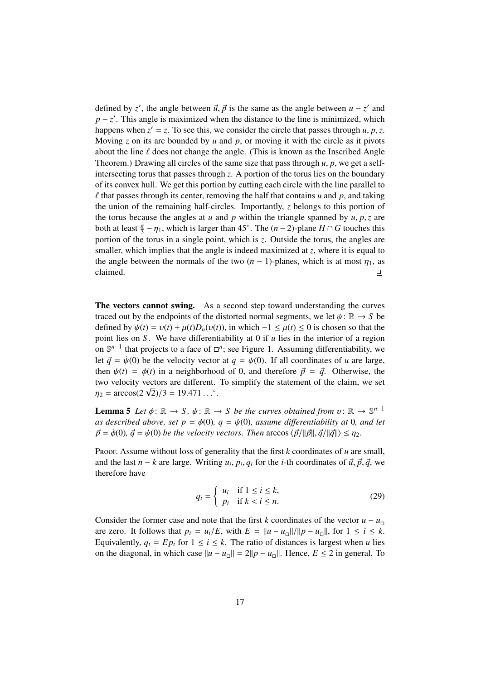defined by *z'*, the angle between  $\vec{u}$ ,  $\vec{p}$  is the same as the angle between  $u - z'$  and  $n - z'$ . This angle is maximized when the distance to the line is minimized, which  $p - z'$ . This angle is maximized when the distance to the line is minimized, which happens when  $z' = z$ . To see this, we consider the circle that passes through *u*, *p*,*z*.<br>Moving *z* on its arc bounded by *u* and *n*, or moving it with the circle as it pivots Moving *z* on its arc bounded by *u* and *p*, or moving it with the circle as it pivots about the line  $\ell$  does not change the angle. (This is known as the Inscribed Angle Theorem.) Drawing all circles of the same size that pass through *<sup>u</sup>*, *<sup>p</sup>*, we get a selfintersecting torus that passes through *z*. A portion of the torus lies on the boundary of its convex hull. We get this portion by cutting each circle with the line parallel to  $\ell$  that passes through its center, removing the half that contains  $u$  and  $p$ , and taking the union of the remaining half-circles. Importantly, *z* belongs to this portion of the torus because the angles at  $u$  and  $p$  within the triangle spanned by  $u, p, z$  are both at least  $\frac{\pi}{3} - \eta_1$ , which is larger than 45°. The  $(n-2)$ -plane *H* ∩ *G* touches this portion of the torus in a single point, which is z. Outside the torus, the angles are portion of the torus in a single point, which is *z*. Outside the torus, the angles are smaller, which implies that the angle is indeed maximized at *z*, where it is equal to the angle between the normals of the two  $(n - 1)$ -planes, which is at most  $\eta_1$ , as claimed. claimed.

The vectors cannot swing. As a second step toward understanding the curves traced out by the endpoints of the distorted normal segments, we let  $\psi : \mathbb{R} \to S$  be defined by  $\psi(t) = v(t) + \mu(t)D_n(v(t))$ , in which  $-1 \leq \mu(t) \leq 0$  is chosen so that the point lies on *S* . We have differentiability at 0 if *u* lies in the interior of a region on  $\mathbb{S}^{n-1}$  that projects to a face of  $\Box^n$ ; see Figure 1. Assuming differentiability, we let  $\vec{q} = \dot{\psi}(0)$  be the velocity vector at  $q = \psi(0)$ . If all coordinates of *u* are large, then  $\psi(t) = \phi(t)$  in a neighborhood of 0, and therefore  $\vec{p} = \vec{q}$ . Otherwise, the two velocity vectors are different. To simplify the statement of the claim, we set two velocity vectors are different.<br> $\eta_2 = \arccos(2\sqrt{2})/3 = 19.471...^{\circ}$ .

**Lemma 5** *Let*  $\phi: \mathbb{R} \to S$ ,  $\psi: \mathbb{R} \to S$  *be the curves obtained from*  $v: \mathbb{R} \to \mathbb{S}^{n-1}$ <br>*as described above, set*  $p = \phi(0)$ ,  $q = \psi(0)$ , assume differentiability at 0, and let *as described above, set p =*  $\phi$ (0)*, q =*  $\psi$ (0)*, assume differentiability at* 0*<i>, and let*  $\vec{p} = \dot{\phi}(0), \vec{q} = \dot{\psi}(0)$  *be the velocity vectors. Then* arccos  $\langle \vec{p}/||\vec{p}||, \vec{q}/||\vec{q}|| \rangle \leq \eta_2$ .

Proof. Assume without loss of generality that the first *k* coordinates of *u* are small, and the last *n* − *k* are large. Writing *u<sub>i</sub>*, *p<sub>i</sub>*, *q<sub>i</sub>* for the *i*-th coordinates of  $\vec{u}$ ,  $\vec{p}$ ,  $\vec{q}$ , we therefore have therefore have

$$
q_i = \begin{cases} u_i & \text{if } 1 \le i \le k, \\ p_i & \text{if } k < i \le n. \end{cases}
$$
 (29)

Consider the former case and note that the first *k* coordinates of the vector  $u - u_{\text{m}}$ are zero. It follows that  $p_i = u_i/E$ , with  $E = ||u - u_{\text{m}}||/||p - u_{\text{m}}||$ , for  $1 \le i \le k$ .<br>Followskip  $a_i = Fp_i$  for  $1 \le i \le k$ . The ratio of distances is largest when *u* lies Equivalently,  $q_i = Ep_i$  for  $1 \le i \le k$ . The ratio of distances is largest when *u* lies on the diagonal, in which case  $||u - u_|| = 2||p - u_||$ . Hence, *E* ≤ 2 in general. To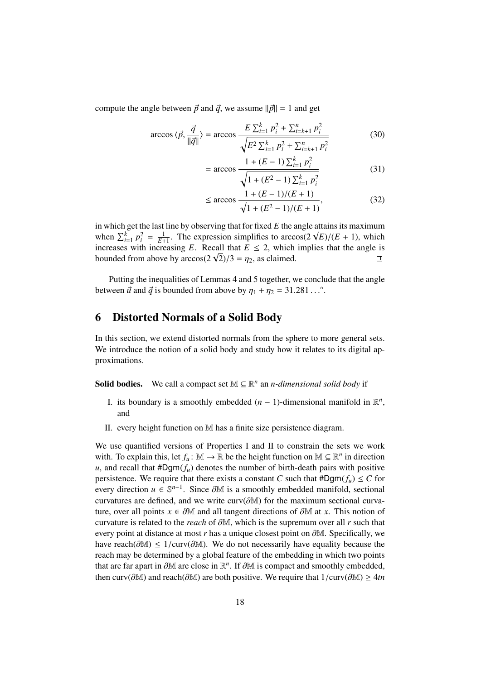compute the angle between  $\vec{p}$  and  $\vec{q}$ , we assume  $\|\vec{p}\| = 1$  and get

$$
\arccos \langle \vec{p}, \frac{\vec{q}}{\|\vec{q}\|} \rangle = \arccos \frac{E \sum_{i=1}^{k} p_i^2 + \sum_{i=k+1}^{n} p_i^2}{\sqrt{E^2 \sum_{i=1}^{k} p_i^2 + \sum_{i=k+1}^{n} p_i^2}}
$$
(30)

$$
= \arccos \frac{1 + (E - 1) \sum_{i=1}^{k} p_i^2}{\sqrt{1 + (E^2 - 1) \sum_{i=1}^{k} p_i^2}}
$$
(31)

$$
\leq \arccos \frac{1 + (E - 1)/(E + 1)}{\sqrt{1 + (E^2 - 1)/(E + 1)}},\tag{32}
$$

in which get the last line by observing that for fixed *E* the angle attains its maximum In which get the last line by observing that for fixed *E* the angle a<br>when  $\sum_{i=1}^{k} p_i^2 = \frac{1}{E+1}$ . The expression simplifies to arccos(2  $\sqrt{ }$ when  $\sum_{i=1}^{k} p_i^2 = \frac{1}{E+1}$ . The expression simplifies to arccos(2  $\sqrt{E}$ )/(*E* + 1), which increases with increasing *E*. Recall that *E* ≤ 2, which implies that the angle is increases with increasing  $E$ . Reca<br>bounded from above by arccos(2  $\sqrt{ }$  $(2)/3 = \eta_2$ , as claimed.  $\Box$ 

Putting the inequalities of Lemmas 4 and 5 together, we conclude that the angle between  $\vec{u}$  and  $\vec{q}$  is bounded from above by  $\eta_1 + \eta_2 = 31.281...^\circ$ .

# 6 Distorted Normals of a Solid Body

In this section, we extend distorted normals from the sphere to more general sets. We introduce the notion of a solid body and study how it relates to its digital approximations.

**Solid bodies.** We call a compact set  $M \subseteq \mathbb{R}^n$  an *n*-dimensional solid body if

- I. its boundary is a smoothly embedded  $(n 1)$ -dimensional manifold in  $\mathbb{R}^n$ , and
- II. every height function on M has a finite size persistence diagram.

We use quantified versions of Properties I and II to constrain the sets we work with. To explain this, let  $f_u : \mathbb{M} \to \mathbb{R}$  be the height function on  $\mathbb{M} \subseteq \mathbb{R}^n$  in direction *u*, and recall that  $#Dgm(f_u)$  denotes the number of birth-death pairs with positive persistence. We require that there exists a constant *C* such that  $#Dgm(f_u) \leq C$  for every direction  $u \in \mathbb{S}^{n-1}$ . Since  $\partial M$  is a smoothly embedded manifold, sectional<br>curvatures are defined and we write curv $(\partial M)$  for the maximum sectional curvacurvatures are defined, and we write curv(∂M) for the maximum sectional curvature, over all points  $x \in \partial M$  and all tangent directions of  $\partial M$  at *x*. This notion of curvature is related to the *reach* of ∂M, which is the supremum over all *<sup>r</sup>* such that every point at distance at most *<sup>r</sup>* has a unique closest point on ∂M. Specifically, we have reach( $\partial M$ ) ≤ 1/curv( $\partial M$ ). We do not necessarily have equality because the reach may be determined by a global feature of the embedding in which two points that are far apart in  $\partial M$  are close in  $\mathbb{R}^n$ . If  $\partial M$  is compact and smoothly embedded, then cury( $\partial M$ ) and reach( $\partial M$ ) are both positive. We require that  $1/\text{curv}(\partial M) > 4tn$ then curv(∂M) and reach(∂M) are both positive. We require that 1/curv(∂M) <sup>≥</sup> <sup>4</sup>*tn*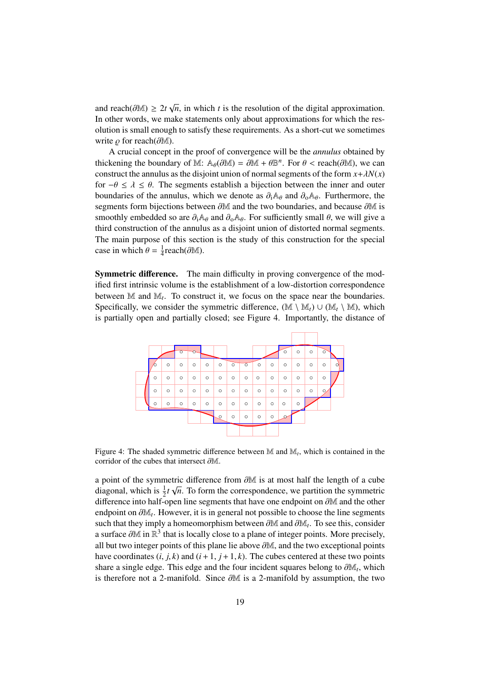and reach( $\partial M$ ) ≥ 2*t*  $\sqrt{\ln \text{other words}}$  we may *n*, in which *t* is the resolution of the digital approximation. In other words, we make statements only about approximations for which the resolution is small enough to satisfy these requirements. As a short-cut we sometimes write  $\rho$  for reach( $\partial M$ ).

A crucial concept in the proof of convergence will be the *annulus* obtained by thickening the boundary of M:  $\mathbb{A}_{\theta}(\partial \mathbb{M}) = \partial \mathbb{M} + \theta \mathbb{B}^n$ . For  $\theta < \text{reach}(\partial \mathbb{M})$ , we can construct the annulus as the disjoint union of normal segments of the form  $x + \lambda N(x)$ construct the annulus as the disjoint union of normal segments of the form  $x + \lambda N(x)$ for  $-\theta \leq \lambda \leq \theta$ . The segments establish a bijection between the inner and outer boundaries of the annulus, which we denote as  $\partial_i A_\theta$  and  $\partial_0 A_\theta$ . Furthermore, the segments form bijections between ∂M and the two boundaries, and because ∂M is smoothly embedded so are  $\partial_i A_\theta$  and  $\partial_0 A_\theta$ . For sufficiently small  $\theta$ , we will give a third construction of the annulus as a disjoint union of distorted normal segments. The main purpose of this section is the study of this construction for the special case in which  $\theta = \frac{1}{4}$  $\frac{1}{4}$ reach( $\partial \mathbb{M}$ ).

Symmetric difference. The main difficulty in proving convergence of the modified first intrinsic volume is the establishment of a low-distortion correspondence between M and M<sub>t</sub>. To construct it, we focus on the space near the boundaries. Specifically, we consider the symmetric difference,  $(\mathbb{M} \setminus \mathbb{M}_t) \cup (\mathbb{M}_t \setminus \mathbb{M})$ , which is partially open and partially closed; see Figure 4. Importantly, the distance of



Figure 4: The shaded symmetric difference between M and M*<sup>t</sup>* , which is contained in the corridor of the cubes that intersect ∂M.

a point of the symmetric difference from  $\partial M$  is at most half the length of a cube<br>diagonal which is  $\frac{1}{2}t \sqrt{n}$ . To form the correspondence, we partition the symmetric diagonal, which is  $\frac{1}{2}t\sqrt{n}$ . To form the correspondence, we partition the symmetric difference into half-open line segments that have one endpoint on ∂<sup>M</sup> and the other endpoint on  $\partial M_t$ . However, it is in general not possible to choose the line segments<br>such that they imply a homeomorphism between  $\partial M$  and  $\partial M$ . To see this, consider such that they imply a homeomorphism between  $\partial M$  and  $\partial M_t$ . To see this, consider a surface  $\partial M$  in  $\mathbb{R}^3$  that is locally close to a plane of integer points. More precisely a surface  $\partial M$  in  $\mathbb{R}^3$  that is locally close to a plane of integer points. More precisely, all but two integer points of this plane lie above  $\partial M$  and the two exceptional points all but two integer points of this plane lie above ∂M, and the two exceptional points have coordinates  $(i, j, k)$  and  $(i + 1, j + 1, k)$ . The cubes centered at these two points share a single edge. This edge and the four incident squares belong to  $\partial M_t$ , which<br>is therefore not a 2 manifold. Since  $\partial M$  is a 2 manifold by assumption, the two is therefore not a 2-manifold. Since ∂<sup>M</sup> is a 2-manifold by assumption, the two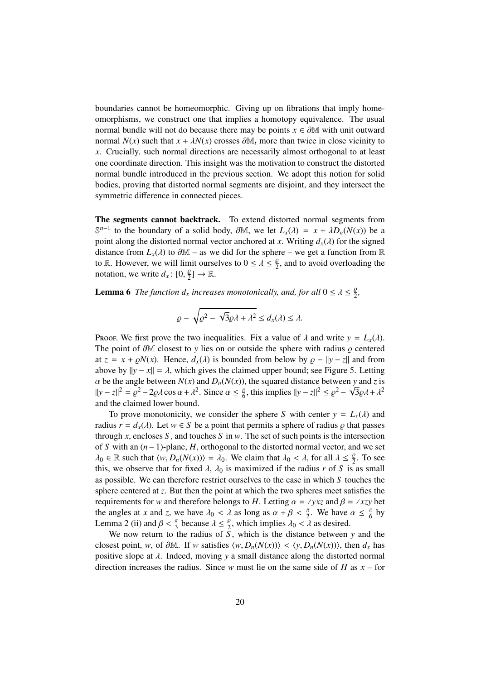boundaries cannot be homeomorphic. Giving up on fibrations that imply homeomorphisms, we construct one that implies a homotopy equivalence. The usual normal bundle will not do because there may be points  $x \in \partial M$  with unit outward normal  $N(x)$  such that  $x + \lambda N(x)$  crosses  $\partial M_t$  more than twice in close vicinity to *x*. Crucially, such normal directions are necessarily almost orthogonal to at least one coordinate direction. This insight was the motivation to construct the distorted normal bundle introduced in the previous section. We adopt this notion for solid bodies, proving that distorted normal segments are disjoint, and they intersect the symmetric difference in connected pieces.

The segments cannot backtrack. To extend distorted normal segments from  $\mathbb{S}^{n-1}$  to the boundary of a solid body,  $\partial \mathbb{M}$ , we let  $L_x(\lambda) = x + \lambda D_n(N(x))$  be a point along the distorted pormal vector anchored at *x*. Writing *d* (*i*) for the signed point along the distorted normal vector anchored at *x*. Writing  $d_x(\lambda)$  for the signed distance from  $L_x(\lambda)$  to  $\partial M$  – as we did for the sphere – we get a function from R to R. However, we will limit ourselves to  $0 \le \lambda \le \frac{\rho}{2}$ , and to avoid overloading the notation, we write  $d : 0 \le 1 \to \mathbb{R}$ notation, we write  $d_x: [0, \frac{\rho}{2}] \to \mathbb{R}$ .

**Lemma 6** The function  $d_x$  increases monotonically, and, for all  $0 \le \lambda \le \frac{\rho}{2}$ ,

$$
\varrho - \sqrt{\varrho^2 - \sqrt{3}\varrho\lambda + \lambda^2} \le d_x(\lambda) \le \lambda.
$$

Proof. We first prove the two inequalities. Fix a value of  $\lambda$  and write  $y = L_x(\lambda)$ . The point of  $\partial M$  closest to *y* lies on or outside the sphere with radius  $\rho$  centered at  $z = x + \rho N(x)$ . Hence,  $d_x(\lambda)$  is bounded from below by  $\rho - ||y - z||$  and from above by  $||y - x|| = \lambda$ , which gives the claimed upper bound; see Figure 5. Letting  $\alpha$  be the angle between  $N(x)$  and  $D_n(N(x))$ , the squared distance between *y* and *z* is<br> $\frac{1}{2} \ln \frac{1}{2} = \alpha^2 - 2\alpha \log \alpha + \lambda^2$ . Since  $\alpha \le \frac{\pi}{2}$  this implies  $\frac{1}{2} \ln \frac{1}{2} \le \alpha^2 - \sqrt{3} \alpha \lambda + \lambda^2$ .  $||y - z||^2 = \rho^2 - 2\rho\lambda\cos\alpha + \lambda^2$ . Since  $\alpha \leq \frac{\pi}{6}$ , this implies  $||y - z||^2 \leq \rho^2 - \sqrt{3}\rho\lambda + \lambda^2$ and the claimed lower bound.

To prove monotonicity, we consider the sphere *S* with center  $y = L_x(\lambda)$  and radius  $r = d_x(\lambda)$ . Let  $w \in S$  be a point that permits a sphere of radius  $\varrho$  that passes through *x*, encloses *S*, and touches *S* in *w*. The set of such points is the intersection of *S* with an (*n*−1)-plane, *H*, orthogonal to the distorted normal vector, and we set  $\lambda_0 \in \mathbb{R}$  such that  $\langle w, D_n(N(x)) \rangle = \lambda_0$ . We claim that  $\lambda_0 < \lambda$ , for all  $\lambda \leq \frac{\rho}{2}$ . To see this we observe that for fixed  $\lambda$ ,  $\lambda_0$  is maximized if the radius r of S is as small this, we observe that for fixed  $\lambda$ ,  $\lambda_0$  is maximized if the radius r of S is as small as possible. We can therefore restrict ourselves to the case in which *S* touches the sphere centered at *z*. But then the point at which the two spheres meet satisfies the requirements for *w* and therefore belongs to *H*. Letting  $\alpha = \angle yxz$  and  $\beta = \angle xzy$  bet the angles at *x* and *z*, we have  $\lambda_0 < \lambda$  as long as  $\alpha + \beta < \frac{\pi}{2}$ . We have  $\alpha \leq \frac{\pi}{6}$  by<br>Lamma 2 (ii) and  $\beta < \frac{\pi}{6}$  because  $\lambda < \frac{\beta}{2}$  which implies  $\lambda_0 < \lambda$  as desired Lemma 2 (ii) and  $\beta < \frac{\pi}{3}$  because  $\lambda \leq \frac{\beta}{2}$ , which implies  $\lambda_0 < \lambda$  as desired.

We now return to the radius of  $\overline{S}$ , which is the distance between  $y$  and the closest point, *w*, of  $\partial M$ . If *w* satisfies  $\langle w, D_n(N(x)) \rangle < \langle y, D_n(N(x)) \rangle$ , then  $d_x$  has positive slope at λ. Indeed, moving *<sup>y</sup>* a small distance along the distorted normal direction increases the radius. Since *w* must lie on the same side of *H* as *x* – for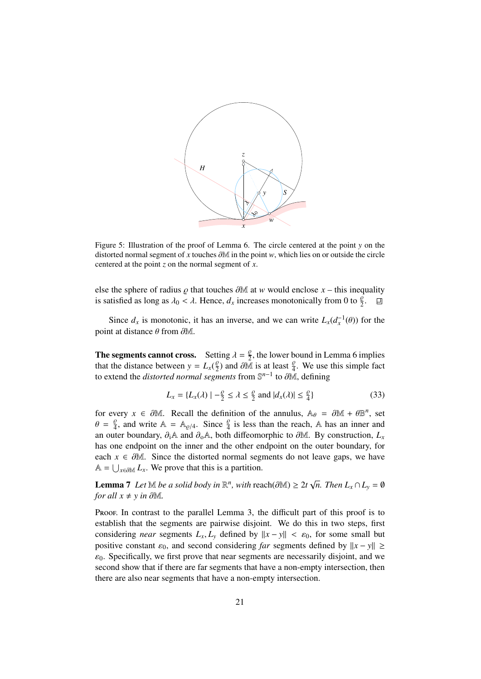

Figure 5: Illustration of the proof of Lemma 6. The circle centered at the point *y* on the distorted normal segment of *<sup>x</sup>* touches ∂<sup>M</sup> in the point *<sup>w</sup>*, which lies on or outside the circle centered at the point *z* on the normal segment of *x*.

else the sphere of radius  $\varrho$  that touches  $\partial M$  at *w* would enclose *x* – this inequality is satisfied as long as  $\lambda_0 < \lambda$ . Hence,  $d_x$  increases monotonically from 0 to  $\frac{\varrho}{2}$ . □ is satisfied as long as  $\lambda_0 < \lambda$ . Hence,  $d_x$  increases monotonically from 0 to  $\frac{\beta}{2}$ .

Since  $d_x$  is monotonic, it has an inverse, and we can write  $L_x(d_x^{-1}(\theta))$  for the set distance  $\theta$  from  $\partial M$ point at distance  $\theta$  from  $\partial M$ .

**The segments cannot cross.** Setting  $\lambda = \frac{\beta}{2}$ , the lower bound in Lemma 6 implies<br>that the distance between  $y = L(\frac{\beta}{2})$  and  $\frac{\partial M}{\partial t}$  is at least  $\frac{\beta}{2}$ . We use this simple fact that the distance between  $y = L_x(\frac{\varrho}{2})$  and  $\partial \tilde{M}$  is at least  $\frac{\varrho}{4}$ . We use this simple fact to extend the *distorted normal segments* from  $\mathbb{S}^{n-1}$  to  $\partial M$ , defining to extend the *distorted normal segments* from  $\mathbb{S}^{n-1}$  to ∂M, defining

$$
L_x = \{L_x(\lambda) \mid -\frac{\rho}{2} \le \lambda \le \frac{\rho}{2} \text{ and } |d_x(\lambda)| \le \frac{\rho}{4}\}\tag{33}
$$

for every  $x \in \partial M$ . Recall the definition of the annulus,  $A_{\theta} = \partial M + \theta B^{n}$ , set  $A = \frac{\rho}{\rho}$  and write  $A = A_{\theta}$ . Since  $\frac{\rho}{\rho}$  is less than the reach  $A$  has an inner and  $\theta = \frac{\rho}{4}$ , and write  $A = A_{\rho/4}$ . Since  $\frac{\rho}{4}$  is less than the reach, A has an inner and an outer boundary  $\partial A$  and  $\partial A$  both diffeomorphic to  $\partial M$ . By construction I an outer boundary,  $\partial_i$ A and  $\partial_0$ A, both diffeomorphic to  $\partial M$ . By construction,  $L_x$ has one endpoint on the inner and the other endpoint on the outer boundary, for each  $x \in \partial \mathbb{M}$ . Since the distorted normal segments do not leave gaps, we have  $\mathbb{A} = \bigcup_{x \in \partial \mathbb{M}} L_x$ . We prove that this is a partition.

**Lemma 7** *Let*  $\mathbb{M}$  *be a solid body in*  $\mathbb{R}^n$ , *with* reach( $\partial \mathbb{M}$ ) ≥ 2*t*  $\sqrt{n}$ *. Then*  $L_x \cap L_y = \emptyset$  for all  $x \neq y$  in  $\partial \mathbb{M}$ *for all*  $x \neq y$  *in*  $\partial M$ *.* 

Proof. In contrast to the parallel Lemma 3, the difficult part of this proof is to establish that the segments are pairwise disjoint. We do this in two steps, first considering *near* segments  $L_x$ ,  $L_y$  defined by  $||x - y|| < \varepsilon_0$ , for some small but positive constant  $\varepsilon_0$ , and second considering *far* segments defined by  $||x - y|| \ge$  $\varepsilon_0$ . Specifically, we first prove that near segments are necessarily disjoint, and we second show that if there are far segments that have a non-empty intersection, then there are also near segments that have a non-empty intersection.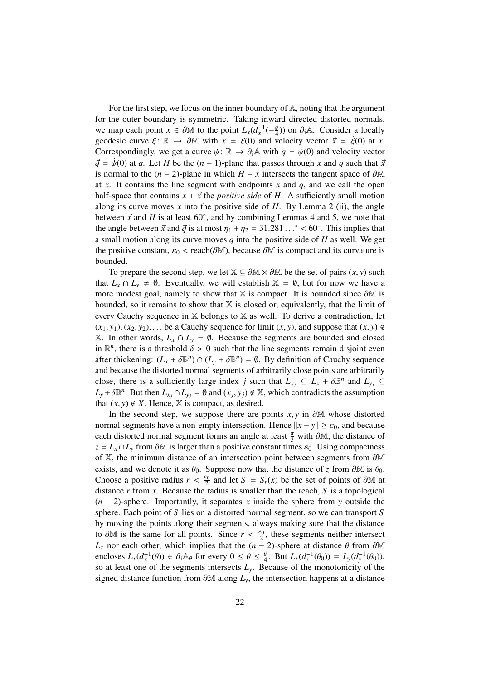For the first step, we focus on the inner boundary of A, noting that the argument for the outer boundary is symmetric. Taking inward directed distorted normals, we map each point  $x \in \partial M$  to the point  $L_x(d_x^{-1}(-\frac{\rho}{4}))$  on  $\partial_i A$ . Consider a locally geodesic curve  $\xi: \mathbb{R} \to \partial \mathbb{M}$  with  $x = \xi(0)$  and velocity vector  $\vec{x} = \dot{\xi}(0)$  at *x*. Correspondingly, we get a curve  $\psi$ :  $\mathbb{R} \to \partial_i \mathbb{A}$  with  $q = \psi(0)$  and velocity vector  $\vec{q} = \dot{\psi}(0)$  at *q*. Let *H* be the  $(n-1)$ -plane that passes through *x* and *q* such that  $\vec{x}$ is normal to the  $(n-2)$ -plane in which  $H - x$  intersects the tangent space of  $\partial M$ at *x*. It contains the line segment with endpoints *x* and *q*, and we call the open half-space that contains  $x + \vec{x}$  the *positive side* of *H*. A sufficiently small motion along its curve moves *x* into the positive side of *H*. By Lemma 2 (ii), the angle between  $\vec{x}$  and *H* is at least 60°, and by combining Lemmas 4 and 5, we note that the angle between  $\vec{x}$  and  $\vec{d}$  is at most  $n_1 + n_2 = 31.281$  °  $\leq 60$ °. This implies that the angle between  $\vec{x}$  and  $\vec{q}$  is at most  $\eta_1 + \eta_2 = 31.281...$ ° < 60°. This implies that a small motion along its curve moves *q* into the positive side of *H* as well. We get the positive constant,  $\varepsilon_0$  < reach( $\partial M$ ), because  $\partial M$  is compact and its curvature is bounded.

To prepare the second step, we let  $\mathbb{X} \subseteq \partial \mathbb{M} \times \partial \mathbb{M}$  be the set of pairs  $(x, y)$  such that  $L_x \cap L_y \neq \emptyset$ . Eventually, we will establish  $\mathbb{X} = \emptyset$ , but for now we have a more modest goal, namely to show that  $X$  is compact. It is bounded since  $\partial M$  is bounded, so it remains to show that  $X$  is closed or, equivalently, that the limit of every Cauchy sequence in X belongs to X as well. To derive a contradiction, let  $(x_1, y_1), (x_2, y_2), \ldots$  be a Cauchy sequence for limit  $(x, y)$ , and suppose that  $(x, y) \notin$ X. In other words,  $L_x \cap L_y = ∅$ . Because the segments are bounded and closed in  $\mathbb{R}^n$ , there is a threshold  $\delta > 0$  such that the line segments remain disjoint even<br>ofter thickening:  $(I + \delta \mathbb{R}^n) \circ (I + \delta \mathbb{R}^n) = \emptyset$ . By definition of Cauchy sequence after thickening:  $(L_x + \delta \mathbb{B}^n) \cap (L_y + \delta \mathbb{B}^n) = \emptyset$ . By definition of Cauchy sequence<br>and because the distorted normal segments of arbitrarily close points are arbitrarily and because the distorted normal segments of arbitrarily close points are arbitrarily close, there is a sufficiently large index *j* such that  $L_{x_j} \subseteq L_x + \delta \mathbb{B}^n$  and  $L_{y_j} \subseteq$ <br>*I* +  $\delta \mathbb{B}^n$ . But then *I*  $\cap I = \emptyset$  and  $(x, y) \notin \mathbb{X}$ , which contradicts the assumption  $L_y + \delta \mathbb{B}^n$ . But then  $L_{x_j} \cap L_{y_j} = \emptyset$  and  $(x_j, y_j) \notin \mathbb{X}$ , which contradicts the assumption that  $(x, y) \notin Y$ . Hence  $\mathbb{X}$  is compact, as desired that  $(x, y) \notin X$ . Hence,  $X$  is compact, as desired.

In the second step, we suppose there are points  $x, y$  in  $\partial M$  whose distorted normal segments have a non-empty intersection. Hence  $||x - y|| \ge \varepsilon_0$ , and because each distorted normal segment forms an angle at least  $\frac{\pi}{3}$  with ∂M, the distance of  $z = I_0 \cap I$  from ∂M is larger than a positive constant times  $\epsilon_0$ . Using compactness  $z = L_x \cap L_y$  from  $\partial M$  is larger than a positive constant times  $\varepsilon_0$ . Using compactness of <sup>X</sup>, the minimum distance of an intersection point between segments from ∂<sup>M</sup> exists, and we denote it as  $\theta_0$ . Suppose now that the distance of *z* from  $\partial M$  is  $\theta_0$ . Choose a positive radius  $r < \frac{\varepsilon_0}{2}$  and let  $S = S_r(x)$  be the set of points of ∂M at distance *r* from *r*. Because the radius is smaller than the reach *S* is a topological distance *r* from *x*. Because the radius is smaller than the reach, *S* is a topological (*n* − 2)-sphere. Importantly, it separates *x* inside the sphere from *y* outside the sphere. Each point of *S* lies on a distorted normal segment, so we can transport *S* by moving the points along their segments, always making sure that the distance to ∂M is the same for all points. Since  $r < \frac{\varepsilon_0}{2}$ , these segments neither intersect <br>*L*, nor each other which implies that the  $(n-2)$ -sphere at distance  $\theta$  from ∂M *L*<sub>*x*</sub> nor each other, which implies that the (*n* − 2)-sphere at distance  $\theta$  from  $\partial M$ encloses  $L_x(d_x^{-1}(\theta)) \in \partial_i \mathbb{A}_{\theta}$  for every  $0 \le \theta \le \frac{\varrho}{4}$ . But  $L_x(d_x^{-1}(\theta_0)) = L_y(d_y^{-1}(\theta_0))$ , so at least one of the segments intersects *L*. Because of the monotonicity of the so at least one of the segments intersects  $L<sub>y</sub>$ . Because of the monotonicity of the signed distance function from  $\partial M$  along  $L$ <sup>*y*</sup>, the intersection happens at a distance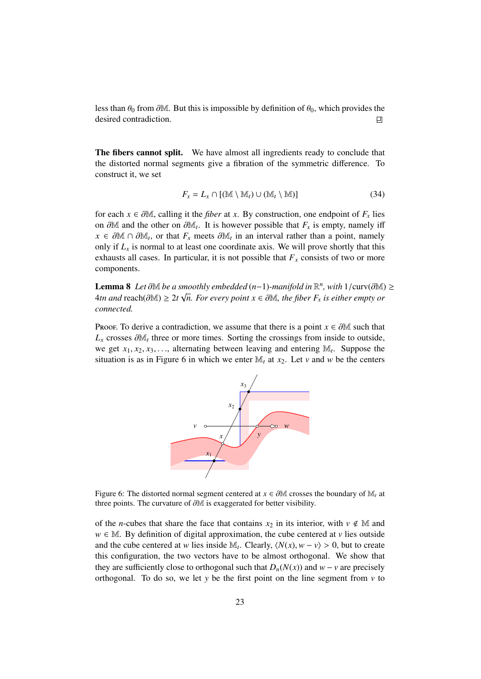less than  $\theta_0$  from  $\partial M$ . But this is impossible by definition of  $\theta_0$ , which provides the desired contradiction. desired contradiction.

The fibers cannot split. We have almost all ingredients ready to conclude that the distorted normal segments give a fibration of the symmetric difference. To construct it, we set

$$
F_x = L_x \cap [(\mathbb{M} \setminus \mathbb{M}_t) \cup (\mathbb{M}_t \setminus \mathbb{M})]
$$
\n(34)

for each  $x \in \partial M$ , calling it the *fiber* at *x*. By construction, one endpoint of  $F_x$  lies on ∂M and the other on ∂M<sub>t</sub>. It is however possible that  $F_x$  is empty, namely iff  $x \in \partial M \cap \partial M$  or that *F*<sub>*x*</sub> meets  $\partial M$  in an interval rather than a point namely  $x \in \partial M \cap \partial M_t$ , or that  $F_x$  meets  $\partial M_t$  in an interval rather than a point, namely<br>only if *I* is pormal to at least one coordinate axis. We will prove shortly that this only if  $L<sub>x</sub>$  is normal to at least one coordinate axis. We will prove shortly that this exhausts all cases. In particular, it is not possible that  $F<sub>x</sub>$  consists of two or more components.

**Lemma 8** *Let* ∂M *be a smoothly embedded* (*n*−1)*-manifold in*  $\mathbb{R}^n$ , *with* 1/curv(∂M) ≥  $\Delta t$  *n k n s s s k n s s i k n s s i he fiber F is either empty or* 4*tn and* reach( $\partial M$ ) ≥ 2*t*  $\sqrt{n}$ *. For every point x* ∈  $\partial M$ *, the fiber F<sub><i>x*</sub> is either empty or connected</sub> *connected.*

Proof. To derive a contradiction, we assume that there is a point  $x \in \partial M$  such that  $L_x$  crosses  $\partial M_t$  three or more times. Sorting the crossings from inside to outside, we get  $x_1, x_2, x_3, \ldots$ , alternating between leaving and entering  $\mathbb{M}_t$ . Suppose the situation is as in Figure 6 in which we enter  $\mathbb{M}_t$  at  $x_0$ . Let  $y$  and  $y$  be the centers situation is as in Figure 6 in which we enter  $\mathbb{M}_t$  at  $x_2$ . Let *v* and *w* be the centers



Figure 6: The distorted normal segment centered at *<sup>x</sup>* <sup>∈</sup> <sup>∂</sup><sup>M</sup> crosses the boundary of <sup>M</sup>*<sup>t</sup>* at three points. The curvature of ∂<sup>M</sup> is exaggerated for better visibility.

of the *n*-cubes that share the face that contains  $x_2$  in its interior, with  $v \notin M$  and  $w \in M$ . By definition of digital approximation, the cube centered at *v* lies outside and the cube centered at *w* lies inside  $M_t$ . Clearly,  $\langle N(x), w - v \rangle > 0$ , but to create this configuration, the two vectors have to be almost orthogonal. We show that they are sufficiently close to orthogonal such that  $D_n(N(x))$  and  $w - v$  are precisely orthogonal. To do so, we let *y* be the first point on the line segment from  $\nu$  to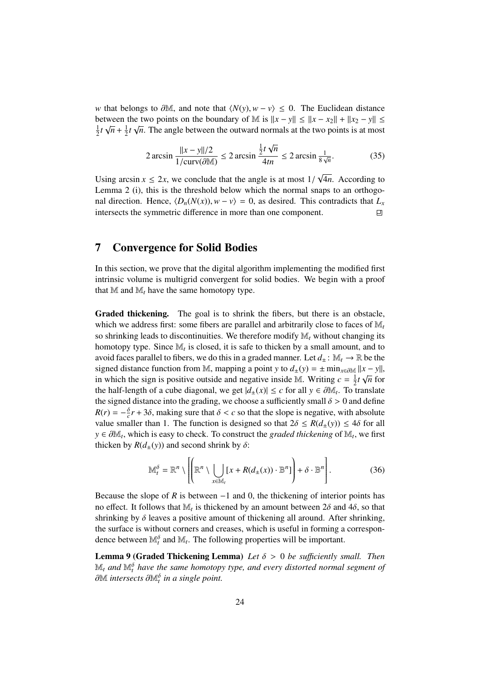*w* that belongs to  $\partial M$ , and note that  $\langle N(y), w - v \rangle \leq 0$ . The Euclidean distance between the two points on the boundary of M is  $||x - y|| \le ||x - x_2|| + ||x_2 - y|| \le$ 1  $\frac{1}{2}t\sqrt{n} + \frac{1}{2}$  $\frac{1}{2}t\sqrt{n}$ . The angle between the outward normals at the two points is at most

$$
2\arcsin\frac{\|x-y\|/2}{1/\text{curv}(\partial \mathbb{M})} \le 2\arcsin\frac{\frac{1}{2}t\sqrt{n}}{4tn} \le 2\arcsin\frac{1}{8\sqrt{n}}.\tag{35}
$$

Using arcsin  $x \le 2x$ , we conclude that the angle is at most  $1/\sqrt{2}$  emma 2. (i) this is the threshold below which the normal sp √ 4*n*. According to Lemma 2 (i), this is the threshold below which the normal snaps to an orthogonal direction. Hence,  $\langle D_n(N(x)), w - v \rangle = 0$ , as desired. This contradicts that  $L_x$  intersects the symmetric difference in more than one component. intersects the symmetric difference in more than one component.

#### 7 Convergence for Solid Bodies

In this section, we prove that the digital algorithm implementing the modified first intrinsic volume is multigrid convergent for solid bodies. We begin with a proof that  $M$  and  $M_t$  have the same homotopy type.

Graded thickening. The goal is to shrink the fibers, but there is an obstacle, which we address first: some fibers are parallel and arbitrarily close to faces of M*<sup>t</sup>* so shrinking leads to discontinuities. We therefore modify M*<sup>t</sup>* without changing its homotopy type. Since M*<sup>t</sup>* is closed, it is safe to thicken by a small amount, and to avoid faces parallel to fibers, we do this in a graded manner. Let  $d_+ : \mathbb{M}_t \to \mathbb{R}$  be the signed distance function from M, mapping a point *y* to  $d_{\pm}(y) = \pm \min_{x \in \partial \mathbb{M}} ||x - y||$ ,<br>in which the sign is positive outside and positive inside M, Weiting  $s = \frac{1}{2}$  to  $\sqrt{s}$  for in which the sign is positive outside and negative inside M. Writing  $c = \frac{1}{2}$  $\frac{1}{2}t\sqrt{n}$  for the half-length of a cube diagonal, we get  $|d_{\pm}(x)| \le c$  for all *y* ∈ ∂M<sub>t</sub>. To translate<br>the signed distance into the grading, we choose a sufficiently small  $\delta > 0$  and define the signed distance into the grading, we choose a sufficiently small  $\delta > 0$  and define  $R(r) = -\frac{\delta}{c}r + 3\delta$ , making sure that  $\delta < c$  so that the slope is negative, with absolute value smaller than 1. The function is designed so that  $2\delta < B(d_1(r)) < 4\delta$  for all value smaller than 1. The function is designed so that  $2\delta \leq R(d_{\pm}(y)) \leq 4\delta$  for all *y* ∈  $\partial M_t$ , which is easy to check. To construct the *graded thickening* of  $M_t$ , we first thicken by *R*(*d* (*y*)) and second shrink by  $\delta$ : thicken by  $R(d_{+}(y))$  and second shrink by  $\delta$ :

$$
\mathbb{M}_t^{\delta} = \mathbb{R}^n \setminus \left[ \left( \mathbb{R}^n \setminus \bigcup_{x \in \mathbb{M}_t} [x + R(d_\pm(x)) \cdot \mathbb{B}^n] \right) + \delta \cdot \mathbb{B}^n \right]. \tag{36}
$$

Because the slope of *R* is between  $-1$  and 0, the thickening of interior points has no effect. It follows that  $M_t$  is thickened by an amount between  $2\delta$  and  $4\delta$ , so that shripking by  $\delta$  leaves a positive amount of thickening all around. After shripking shrinking by  $\delta$  leaves a positive amount of thickening all around. After shrinking, the surface is without corners and creases, which is useful in forming a correspondence between  $\mathbb{M}_t^{\delta}$  and  $\mathbb{M}_t$ . The following properties will be important.

Lemma 9 (Graded Thickening Lemma) *Let* δ > <sup>0</sup> *be su*ffi*ciently small. Then*  $\mathbb{M}_t$  and  $\mathbb{M}^{\delta}_t$  have the same homotopy type, and every distorted normal segment of ∂M *intersects* ∂M<sub>t</sub><sup> $\delta$ </sup> in a single point.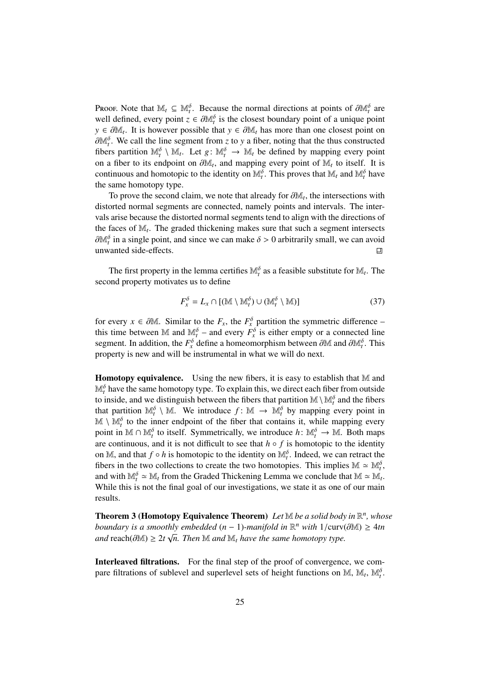Proof. Note that  $\mathbb{M}_t \subseteq \mathbb{M}_t^{\delta}$ . Because the normal directions at points of  $\partial \mathbb{M}_t^{\delta}$  are well defined every point  $z \in \partial \mathbb{M}^{\delta}$  is the closest boundary point of a unique point well defined, every point  $z \in \partial M_t^{\delta}$  is the closest boundary point of a unique point<br> $y \in \partial M_t$ . It is however possible that  $y \in \partial M_t$  has more than one closest point on *y* ∈  $\partial M_t$ . It is however possible that *y* ∈  $\partial M_t$  has more than one closest point on  $\partial M_t$ <sup>6</sup>. We call the line segment from z to *y* a fiber poting that the thus constructed  $\partial M_t^{\delta}$ . We call the line segment from *z* to *y* a fiber, noting that the thus constructed fibers partition  $M_t^{\delta}$  \  $M_t$ . Let  $g: M_t^{\delta} \to M_t$ , be defined by manning every point fibers partition  $\mathbb{M}_t^{\delta} \setminus \mathbb{M}_t$ . Let  $g: \mathbb{M}_t^{\delta} \to \mathbb{M}_t$  be defined by mapping every point on a fiber to its endpoint on  $\partial M_t$ , and mapping every point of  $M_t$  to itself. It is<br>continuous and homotonic to the identity on  $M_0$ <sup>δ</sup>. This proves that M, and  $M_0$ <sup>δ</sup> have continuous and homotopic to the identity on  $\mathbb{M}_t^{\delta}$ . This proves that  $\mathbb{M}_t$  and  $\mathbb{M}_t^{\delta}$  have the same homotopy type.

To prove the second claim, we note that already for  $\partial M_t$ , the intersections with orted pormal segments are connected, pamely points and intervals. The interdistorted normal segments are connected, namely points and intervals. The intervals arise because the distorted normal segments tend to align with the directions of the faces of M*<sup>t</sup>* . The graded thickening makes sure that such a segment intersects  $\partial M_t^{\delta}$  in a single point, and since we can make  $\delta > 0$  arbitrarily small, we can avoid unwanted side-effects unwanted side-effects.

The first property in the lemma certifies  $\mathbb{M}_{t}^{\delta}$  as a feasible substitute for  $\mathbb{M}_{t}$ . The second property motivates us to define

$$
F_x^{\delta} = L_x \cap [(\mathbb{M} \setminus \mathbb{M}_t^{\delta}) \cup (\mathbb{M}_t^{\delta} \setminus \mathbb{M})]
$$
(37)

for every *x* ∈ ∂M. Similar to the  $F_x$ , the  $F_x^{\delta}$  partition the symmetric difference –<br>this time between M and M<sup>δ</sup> and every  $F^{\delta}$  is either empty or a connected line this time between M and  $\mathbb{M}_{t}^{\delta}$  – and every  $\tilde{F}_{x}^{\delta}$  is either empty or a connected line segment. In addition, the  $F_x^{\delta}$  define a homeomorphism between  $\partial M$  and  $\partial M_t^{\delta}$ . This property is new and will be instrumental in what we will do next.

**Homotopy equivalence.** Using the new fibers, it is easy to establish that  $M$  and  $\mathbb{M}^{\delta}_t$  have the same homotopy type. To explain this, we direct each fiber from outside to inside, and we distinguish between the fibers that partition  $\mathbb{M} \setminus \mathbb{M}_t^{\delta}$  and the fibers that partition  $\mathbb{M}_t^{\delta} \setminus \mathbb{M}$ . We introduce  $f: \mathbb{M} \to \mathbb{M}_t^{\delta}$  by mapping every point in  $\mathbb{M} \setminus \mathbb{M}^{\delta}$  to the inner endpoint of the fiber that contains it, while mapping every point in  $\mathbb{M} \cap \mathbb{M}_{t}^{\delta}$  to itself. Symmetrically, we introduce  $h: \mathbb{M}_{t}^{\delta} \to \mathbb{M}$ . Both maps are continuous, and it is not difficult to see that  $h \circ f$  is homotopic to the identity on M, and that  $f \circ h$  is homotopic to the identity on  $\mathbb{M}_t^{\delta}$ . Indeed, we can retract the fibers in the two collections to create the two homotopies. This implies  $\mathbb{M} \simeq \mathbb{M}_t^{\delta}$ , and with  $\mathbb{M}_t^{\delta} \simeq \mathbb{M}_t$  from the Graded Thickening Lemma we conclude that  $\mathbb{M} \simeq \mathbb{M}_t$ . While this is not the final goal of our investigations, we state it as one of our main results.

Theorem 3 (Homotopy Equivalence Theorem) *Let* M *be a solid body in* R *n , whose boundary is a smoothly embedded*  $(n - 1)$ *-manifold in*  $\mathbb{R}^n$  *with*  $1/\text{curv}(\partial \mathbb{M}) \geq 4tn$ <br>and reach( $\partial \mathbb{M}$ ) > 2*t*  $\sqrt{n}$ . Then  $\mathbb{M}$  and  $\mathbb{M}$ , have the same homotopy type *and* reach( $\partial M$ ) ≥ 2*t*  $\sqrt{n}$ . Then M *and* M<sub>*t*</sub> have the same homotopy type.

Interleaved filtrations. For the final step of the proof of convergence, we compare filtrations of sublevel and superlevel sets of height functions on  $\mathbb{M}$ ,  $\mathbb{M}_t$ ,  $\mathbb{M}_t^{\delta}$ .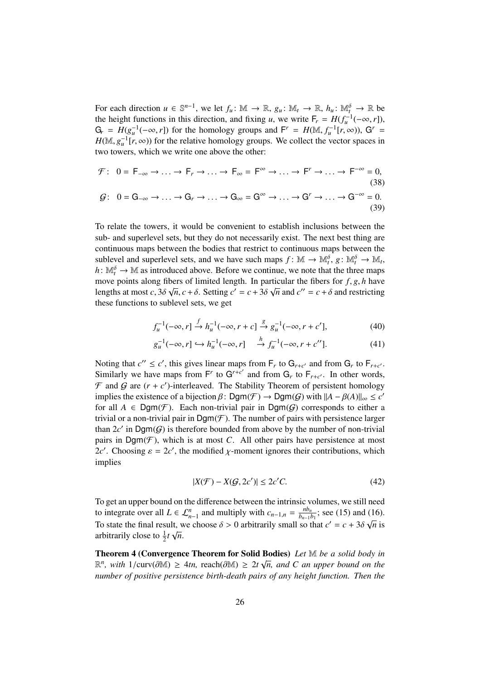For each direction  $u \in \mathbb{S}^{n-1}$ , we let  $f_u: \mathbb{M} \to \mathbb{R}$ ,  $g_u: \mathbb{M}_t \to \mathbb{R}$ ,  $h_u: \mathbb{M}_t^{\delta} \to \mathbb{R}$  be the height functions in this direction, and fixing *u*, we write  $F_r = H(f_u^{-1}(-\infty, r))$ ,<br> $G = H(g^{-1}(-\infty, r))$  for the homology groups and  $F' = H(M - f^{-1}[r, \infty))$ .  $G' =$  $G_r = H(g_u^{-1}(-\infty, r])$  for the homology groups and  $F^r = H(M, f_u^{-1}[r, \infty))$ ,  $G^r = H(M, \sigma^{-1}[r, \infty))$  for the relative homology groups. We collect the vector spaces in  $H(\mathbb{M}, g_u^{-1}[r, \infty))$  for the relative homology groups. We collect the vector spaces in<br>two towers, which we write one above the other: two towers, which we write one above the other:

$$
\mathcal{F}: \quad 0 = F_{-\infty} \to \dots \to F_r \to \dots \to F_{\infty} = F^{\infty} \to \dots \to F^r \to \dots \to F^{-\infty} = 0,
$$
\n
$$
\mathcal{G}: \quad 0 = G_{-\infty} \to \dots \to G_r \to \dots \to G_{\infty} = G^{\infty} \to \dots \to G^r \to \dots \to G^{-\infty} = 0.
$$
\n
$$
\tag{39}
$$

To relate the towers, it would be convenient to establish inclusions between the sub- and superlevel sets, but they do not necessarily exist. The next best thing are continuous maps between the bodies that restrict to continuous maps between the sublevel and superlevel sets, and we have such maps  $f: \mathbb{M} \to \mathbb{M}_t^{\delta}, g: \mathbb{M}_t^{\delta} \to \mathbb{M}_t$ ,  $h: \mathbb{M}_{t}^{\delta} \to \mathbb{M}$  as introduced above. Before we continue, we note that the three maps move points along fibers of limited length. In particular the fibers for *f*, *g*, *h* have<br>lengths at most  $c^2 \delta \sqrt{n} c + \delta$ . Setting  $c' = c + 3\delta \sqrt{n}$  and  $c'' = c + \delta$  and restricting lengths at most *c*,  $3\delta \sqrt{n}$ ,  $c + \delta$ . Setting  $c' = c + 3\delta \sqrt{n}$  and  $c'' = c + \delta$  and restricting these functions to sublevel sets, we get these functions to sublevel sets, we get

$$
f_u^{-1}(-\infty, r] \xrightarrow{f} h_u^{-1}(-\infty, r + c] \xrightarrow{g} g_u^{-1}(-\infty, r + c'],
$$
 (40)

$$
g_u^{-1}(-\infty, r] \hookrightarrow h_u^{-1}(-\infty, r] \xrightarrow{h} f_u^{-1}(-\infty, r + c''].
$$
 (41)

Noting that  $c'' \leq c'$ , this gives linear maps from  $F_r$  to  $G_{r+c'}$  and from  $G_r$  to  $F_{r+c'}$ . Similarly we have maps from  $F^r$  to  $G^{r+c'}$  and from  $G_r$  to  $F_{r+c'}$ . In other words,  $\mathcal F$  and  $\mathcal G$  are  $(r + c')$ -interleaved. The Stability Theorem of persistent homology implies the existence of a bijection  $\beta$ : Dgm( $\mathcal{F}$ )  $\rightarrow$  Dgm( $\mathcal{G}$ ) with  $||A - \beta(A)||_{\infty} \le c'$ <br>for all  $A \in \text{Dom}(\mathcal{F})$ . Each non-trivial pair in Dgm( $\mathcal{G}$ ) corresponds to either a for all  $A \in \text{Dgm}(\mathcal{F})$ . Each non-trivial pair in  $\text{Dgm}(\mathcal{G})$  corresponds to either a trivial or a non-trivial pair in  $\text{Dgm}(\mathcal{F})$ . The number of pairs with persistence larger than  $2c'$  in  $\text{Dgm}(G)$  is therefore bounded from above by the number of non-trivial pairs in  $Dgm(\mathcal{F})$ , which is at most *C*. All other pairs have persistence at most 2*c'*. Choosing  $\varepsilon = 2c'$ , the modified  $\chi$ -moment ignores their contributions, which implies

$$
|X(\mathcal{F}) - X(\mathcal{G}, 2c')| \le 2c'C.
$$
\n(42)

To get an upper bound on the difference between the intrinsic volumes, we still need to integrate over all  $L \in \mathcal{L}_{n-1}^n$  and multiply with  $c_{n-1,n} = \frac{nb_n}{b_{n-1}}$  $\frac{nb_n}{b_{n-1}b_1}$ ; see (15) and (16). To state the final result, we choose  $\delta > 0$  arbitrarily small so that  $c' = c + 3\delta \sqrt{n}$  is arbitrarily close to  $\frac{1}{2}t \sqrt{n}$ arbitrarily close to  $\frac{1}{2}t\sqrt{n}$ .

Theorem 4 (Convergence Theorem for Solid Bodies) *Let* M *be a solid body in* √  $\mathbb{R}^n$ , with 1/curv(∂M) ≥ 4*tn*, reach(∂M) ≥ 2*t*  $\sqrt{n}$ , and *C* an upper bound on the number of positive persistance birth death pairs of any height function. Then the *number of positive persistence birth-death pairs of any height function. Then the*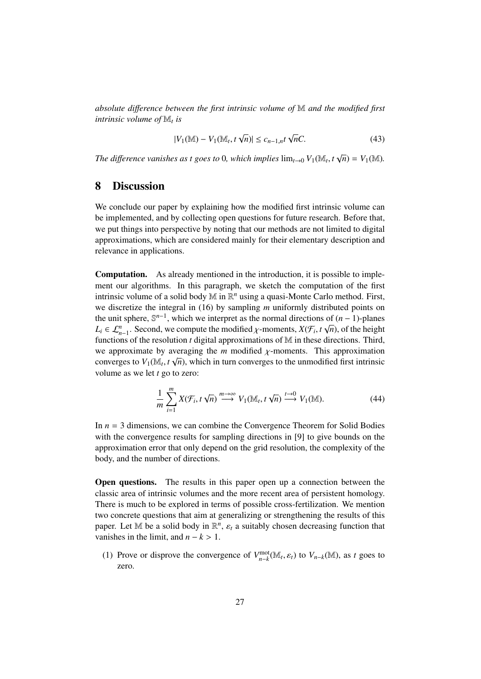*absolute di*ff*erence between the first intrinsic volume of* M *and the modified first intrinsic volume of* M*<sup>t</sup> is*

$$
|V_1(\mathbb{M}) - V_1(\mathbb{M}_t, t\sqrt{n})| \le c_{n-1,n} t\sqrt{n}C.
$$
 (43)

*The difference vanishes as t goes to* 0*, which implies*  $\lim_{t\to 0} V_1(\mathbb{M}_t, t)$  $\sqrt{n}$ ) =  $V_1(\mathbb{M})$ .

#### 8 Discussion

We conclude our paper by explaining how the modified first intrinsic volume can be implemented, and by collecting open questions for future research. Before that, we put things into perspective by noting that our methods are not limited to digital approximations, which are considered mainly for their elementary description and relevance in applications.

Computation. As already mentioned in the introduction, it is possible to implement our algorithms. In this paragraph, we sketch the computation of the first intrinsic volume of a solid body M in  $\mathbb{R}^n$  using a quasi-Monte Carlo method. First, we discretize the integral in (16) by sampling *m* uniformly distributed points on the unit sphere,  $\mathbb{S}^{n-1}$ , which we interpret as the normal directions of  $(n-1)$ -planes  $L_i \in \mathcal{L}_{n-1}^n$ . Second, we compute the modified  $\chi$ -moments,  $X(\mathcal{F}_i, t\sqrt{n})$ , of the height functions of the resolution *t* digital approximations of M in these directions. Third functions of the resolution *t* digital approximations of M in these directions. Third, we approximate by averaging the *m* modified  $\chi$ -moments. This approximation converges to  $V_{\ell}(\mathbb{M}_{\ell}, t_{\ell})$  which in turn converges to the unmodified first intrinsic converges to  $V_1(\mathbb{M}_t, t\sqrt{n})$ , which in turn converges to the unmodified first intrinsic<br>volume as we let t go to zero: volume as we let *t* go to zero:

$$
\frac{1}{m}\sum_{i=1}^{m}X(\mathcal{F}_i,t\sqrt{n})\stackrel{m\to\infty}{\longrightarrow}V_1(\mathbb{M}_t,t\sqrt{n})\stackrel{t\to 0}{\longrightarrow}V_1(\mathbb{M}).
$$
\n(44)

In *n* = 3 dimensions, we can combine the Convergence Theorem for Solid Bodies with the convergence results for sampling directions in [9] to give bounds on the approximation error that only depend on the grid resolution, the complexity of the body, and the number of directions.

Open questions. The results in this paper open up a connection between the classic area of intrinsic volumes and the more recent area of persistent homology. There is much to be explored in terms of possible cross-fertilization. We mention two concrete questions that aim at generalizing or strengthening the results of this paper. Let M be a solid body in  $\mathbb{R}^n$ ,  $\varepsilon_t$  a suitably chosen decreasing function that vanishes in the limit and  $n - k > 1$ vanishes in the limit, and  $n - k > 1$ .

(1) Prove or disprove the convergence of  $V_{n-k}^{\text{mot}}(\mathbb{M}_t, \varepsilon_t)$  to  $V_{n-k}(\mathbb{M})$ , as *t* goes to zero.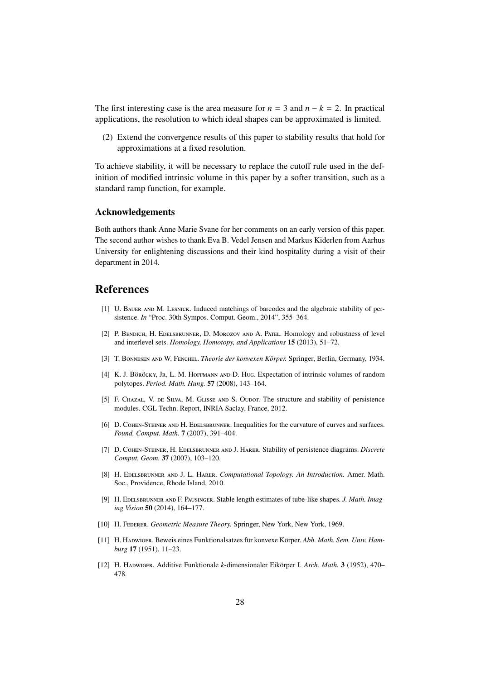The first interesting case is the area measure for  $n = 3$  and  $n - k = 2$ . In practical applications, the resolution to which ideal shapes can be approximated is limited.

(2) Extend the convergence results of this paper to stability results that hold for approximations at a fixed resolution.

To achieve stability, it will be necessary to replace the cutoff rule used in the definition of modified intrinsic volume in this paper by a softer transition, such as a standard ramp function, for example.

#### Acknowledgements

Both authors thank Anne Marie Svane for her comments on an early version of this paper. The second author wishes to thank Eva B. Vedel Jensen and Markus Kiderlen from Aarhus University for enlightening discussions and their kind hospitality during a visit of their department in 2014.

#### References

- [1] U. Bauer and M. Lesnick. Induced matchings of barcodes and the algebraic stability of persistence. *In* "Proc. 30th Sympos. Comput. Geom., 2014", 355–364.
- [2] P. BENDICH, H. EDELSBRUNNER, D. MOROZOV AND A. PATEL. Homology and robustness of level and interlevel sets. *Homology, Homotopy, and Applications* 15 (2013), 51–72.
- [3] T. BONNESEN AND W. FENCHEL. *Theorie der konvexen Körper*. Springer, Berlin, Germany, 1934.
- [4] K. J. Böröcky, Jr, L. M. Hoffmann and D. Hug. Expectation of intrinsic volumes of random polytopes. *Period. Math. Hung.* 57 (2008), 143–164.
- [5] F. CHAZAL, V. DE SILVA, M. GLISSE AND S. OUDOT. The structure and stability of persistence modules. CGL Techn. Report, INRIA Saclay, France, 2012.
- [6] D. COHEN-STEINER AND H. EDELSBRUNNER. Inequalities for the curvature of curves and surfaces. *Found. Comput. Math.* 7 (2007), 391–404.
- [7] D. Cohen-Steiner, H. Edelsbrunner and J. Harer. Stability of persistence diagrams. *Discrete Comput. Geom.* 37 (2007), 103–120.
- [8] H. Edelsbrunner and J. L. Harer. *Computational Topology. An Introduction.* Amer. Math. Soc., Providence, Rhode Island, 2010.
- [9] H. Edelsbrunner and F. Pausinger. Stable length estimates of tube-like shapes. *J. Math. Imaging Vision* 50 (2014), 164–177.
- [10] H. FEDERER. *Geometric Measure Theory*. Springer, New York, New York, 1969.
- [11] H. Hapwiger. Beweis eines Funktionalsatzes für konvexe Körper. Abh. Math. Sem. Univ. Ham*burg* 17 (1951), 11–23.
- [12] H. Hadwiger. Additive Funktionale *k*-dimensionaler Eikörper I. Arch. Math. 3 (1952), 470– 478.